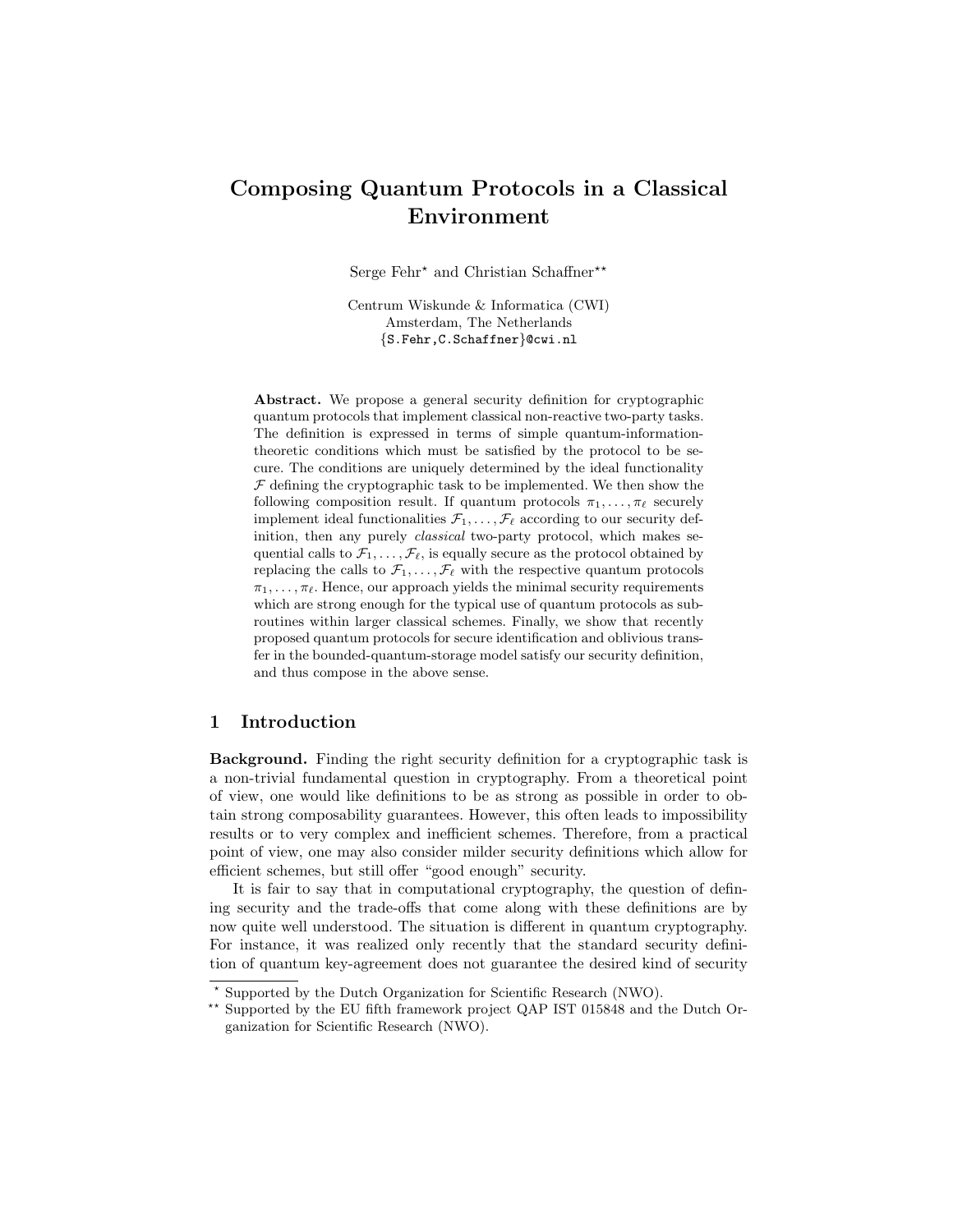# Composing Quantum Protocols in a Classical Environment

Serge Fehr<sup>\*</sup> and Christian Schaffner<sup>\*\*</sup>

Centrum Wiskunde & Informatica (CWI) Amsterdam, The Netherlands {S.Fehr,C.Schaffner}@cwi.nl

Abstract. We propose a general security definition for cryptographic quantum protocols that implement classical non-reactive two-party tasks. The definition is expressed in terms of simple quantum-informationtheoretic conditions which must be satisfied by the protocol to be secure. The conditions are uniquely determined by the ideal functionality  $F$  defining the cryptographic task to be implemented. We then show the following composition result. If quantum protocols  $\pi_1, \ldots, \pi_\ell$  securely implement ideal functionalities  $\mathcal{F}_1, \ldots, \mathcal{F}_\ell$  according to our security definition, then any purely classical two-party protocol, which makes sequential calls to  $\mathcal{F}_1, \ldots, \mathcal{F}_{\ell}$ , is equally secure as the protocol obtained by replacing the calls to  $\mathcal{F}_1, \ldots, \mathcal{F}_\ell$  with the respective quantum protocols  $\pi_1, \ldots, \pi_\ell$ . Hence, our approach yields the minimal security requirements which are strong enough for the typical use of quantum protocols as subroutines within larger classical schemes. Finally, we show that recently proposed quantum protocols for secure identification and oblivious transfer in the bounded-quantum-storage model satisfy our security definition, and thus compose in the above sense.

#### 1 Introduction

Background. Finding the right security definition for a cryptographic task is a non-trivial fundamental question in cryptography. From a theoretical point of view, one would like definitions to be as strong as possible in order to obtain strong composability guarantees. However, this often leads to impossibility results or to very complex and inefficient schemes. Therefore, from a practical point of view, one may also consider milder security definitions which allow for efficient schemes, but still offer "good enough" security.

It is fair to say that in computational cryptography, the question of defining security and the trade-offs that come along with these definitions are by now quite well understood. The situation is different in quantum cryptography. For instance, it was realized only recently that the standard security definition of quantum key-agreement does not guarantee the desired kind of security

<sup>?</sup> Supported by the Dutch Organization for Scientific Research (NWO).

<sup>\*\*</sup> Supported by the EU fifth framework project QAP IST 015848 and the Dutch Organization for Scientific Research (NWO).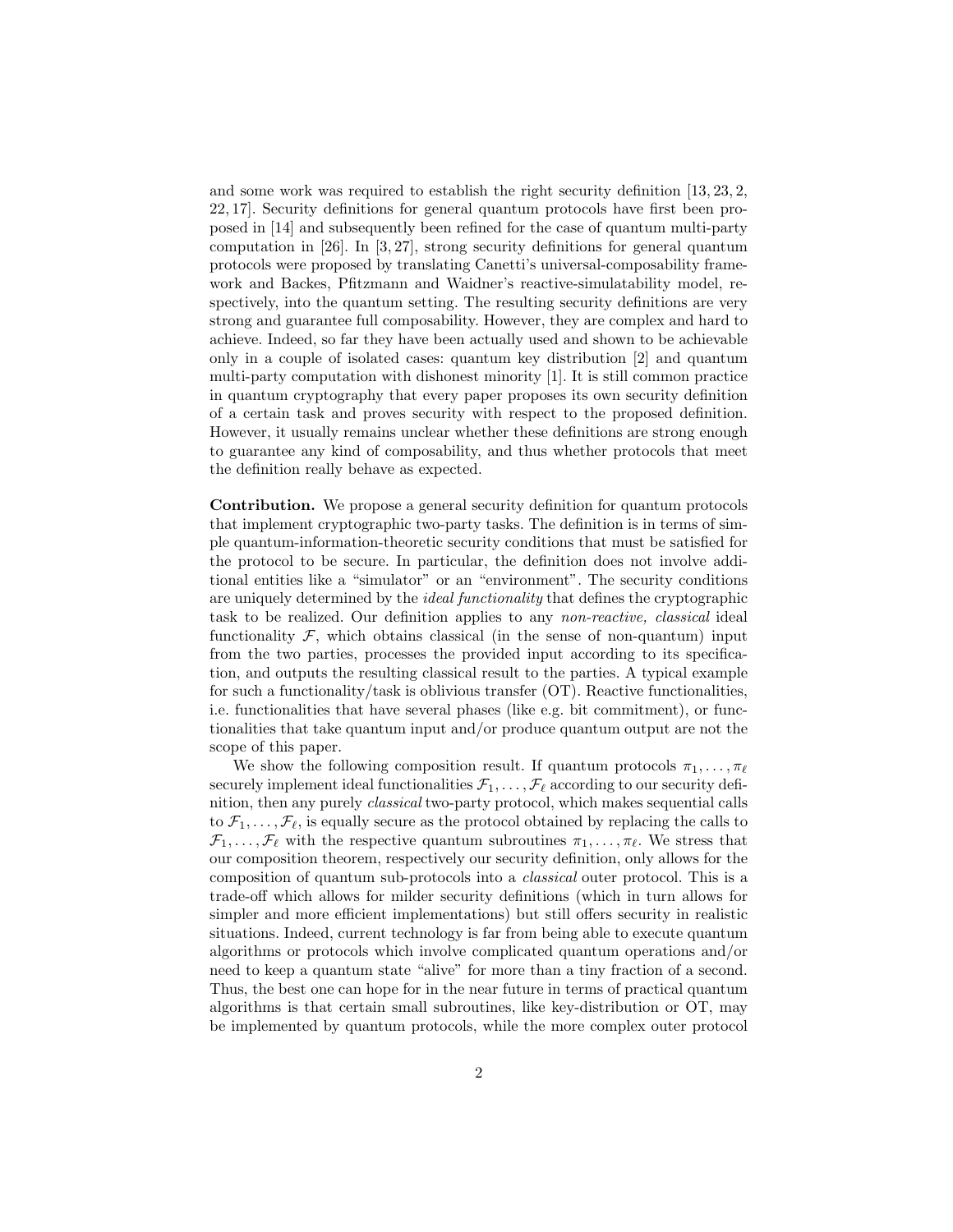and some work was required to establish the right security definition [13, 23, 2, 22, 17]. Security definitions for general quantum protocols have first been proposed in [14] and subsequently been refined for the case of quantum multi-party computation in [26]. In [3, 27], strong security definitions for general quantum protocols were proposed by translating Canetti's universal-composability framework and Backes, Pfitzmann and Waidner's reactive-simulatability model, respectively, into the quantum setting. The resulting security definitions are very strong and guarantee full composability. However, they are complex and hard to achieve. Indeed, so far they have been actually used and shown to be achievable only in a couple of isolated cases: quantum key distribution [2] and quantum multi-party computation with dishonest minority [1]. It is still common practice in quantum cryptography that every paper proposes its own security definition of a certain task and proves security with respect to the proposed definition. However, it usually remains unclear whether these definitions are strong enough to guarantee any kind of composability, and thus whether protocols that meet the definition really behave as expected.

Contribution. We propose a general security definition for quantum protocols that implement cryptographic two-party tasks. The definition is in terms of simple quantum-information-theoretic security conditions that must be satisfied for the protocol to be secure. In particular, the definition does not involve additional entities like a "simulator" or an "environment". The security conditions are uniquely determined by the ideal functionality that defines the cryptographic task to be realized. Our definition applies to any non-reactive, classical ideal functionality  $\mathcal{F}$ , which obtains classical (in the sense of non-quantum) input from the two parties, processes the provided input according to its specification, and outputs the resulting classical result to the parties. A typical example for such a functionality/task is oblivious transfer (OT). Reactive functionalities, i.e. functionalities that have several phases (like e.g. bit commitment), or functionalities that take quantum input and/or produce quantum output are not the scope of this paper.

We show the following composition result. If quantum protocols  $\pi_1, \ldots, \pi_\ell$ securely implement ideal functionalities  $\mathcal{F}_1, \ldots, \mathcal{F}_\ell$  according to our security definition, then any purely classical two-party protocol, which makes sequential calls to  $\mathcal{F}_1, \ldots, \mathcal{F}_\ell$ , is equally secure as the protocol obtained by replacing the calls to  $\mathcal{F}_1, \ldots, \mathcal{F}_\ell$  with the respective quantum subroutines  $\pi_1, \ldots, \pi_\ell$ . We stress that our composition theorem, respectively our security definition, only allows for the composition of quantum sub-protocols into a classical outer protocol. This is a trade-off which allows for milder security definitions (which in turn allows for simpler and more efficient implementations) but still offers security in realistic situations. Indeed, current technology is far from being able to execute quantum algorithms or protocols which involve complicated quantum operations and/or need to keep a quantum state "alive" for more than a tiny fraction of a second. Thus, the best one can hope for in the near future in terms of practical quantum algorithms is that certain small subroutines, like key-distribution or OT, may be implemented by quantum protocols, while the more complex outer protocol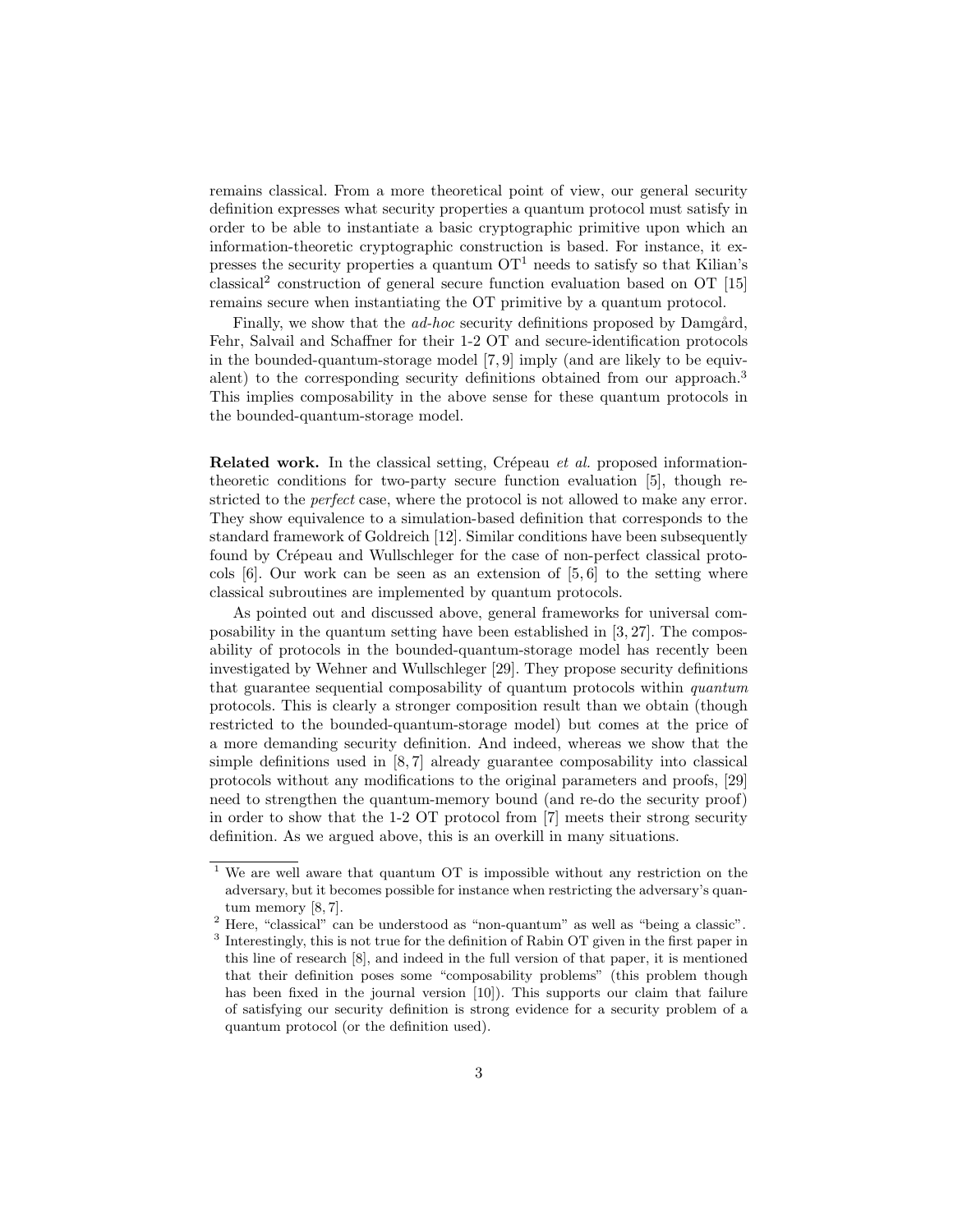remains classical. From a more theoretical point of view, our general security definition expresses what security properties a quantum protocol must satisfy in order to be able to instantiate a basic cryptographic primitive upon which an information-theoretic cryptographic construction is based. For instance, it expresses the security properties a quantum  $\mathrm{OT}^1$  needs to satisfy so that Kilian's classical<sup>2</sup> construction of general secure function evaluation based on OT [15] remains secure when instantiating the OT primitive by a quantum protocol.

Finally, we show that the *ad-hoc* security definitions proposed by Damgård, Fehr, Salvail and Schaffner for their 1-2 OT and secure-identification protocols in the bounded-quantum-storage model [7, 9] imply (and are likely to be equivalent) to the corresponding security definitions obtained from our approach.<sup>3</sup> This implies composability in the above sense for these quantum protocols in the bounded-quantum-storage model.

**Related work.** In the classical setting, Crépeau et al. proposed informationtheoretic conditions for two-party secure function evaluation [5], though restricted to the *perfect* case, where the protocol is not allowed to make any error. They show equivalence to a simulation-based definition that corresponds to the standard framework of Goldreich [12]. Similar conditions have been subsequently found by Crépeau and Wullschleger for the case of non-perfect classical protocols  $[6]$ . Our work can be seen as an extension of  $[5, 6]$  to the setting where classical subroutines are implemented by quantum protocols.

As pointed out and discussed above, general frameworks for universal composability in the quantum setting have been established in [3, 27]. The composability of protocols in the bounded-quantum-storage model has recently been investigated by Wehner and Wullschleger [29]. They propose security definitions that guarantee sequential composability of quantum protocols within quantum protocols. This is clearly a stronger composition result than we obtain (though restricted to the bounded-quantum-storage model) but comes at the price of a more demanding security definition. And indeed, whereas we show that the simple definitions used in [8, 7] already guarantee composability into classical protocols without any modifications to the original parameters and proofs, [29] need to strengthen the quantum-memory bound (and re-do the security proof) in order to show that the 1-2 OT protocol from [7] meets their strong security definition. As we argued above, this is an overkill in many situations.

<sup>&</sup>lt;sup>1</sup> We are well aware that quantum OT is impossible without any restriction on the adversary, but it becomes possible for instance when restricting the adversary's quantum memory [8, 7].

<sup>2</sup> Here, "classical" can be understood as "non-quantum" as well as "being a classic".

<sup>&</sup>lt;sup>3</sup> Interestingly, this is not true for the definition of Rabin OT given in the first paper in this line of research [8], and indeed in the full version of that paper, it is mentioned that their definition poses some "composability problems" (this problem though has been fixed in the journal version [10]). This supports our claim that failure of satisfying our security definition is strong evidence for a security problem of a quantum protocol (or the definition used).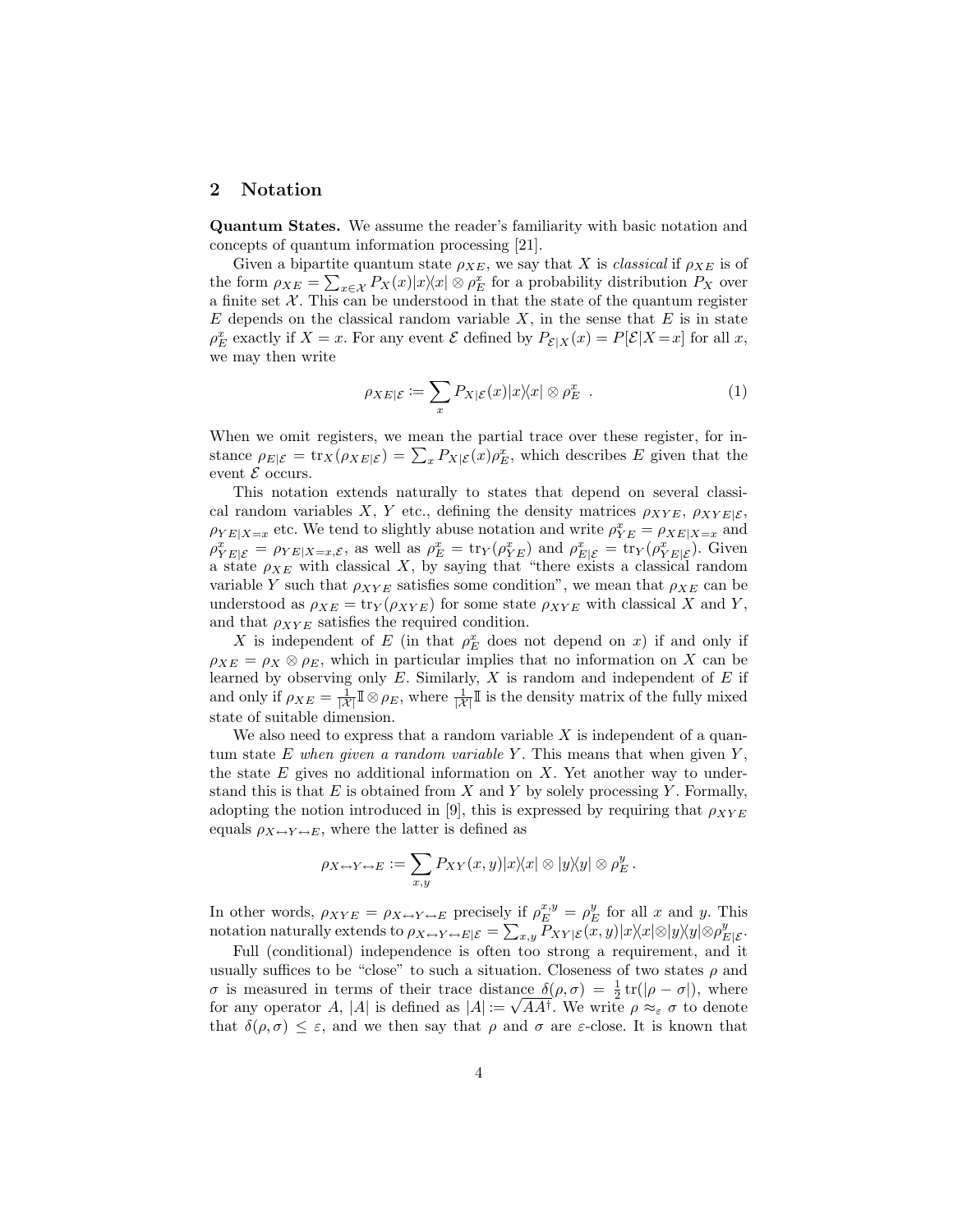#### 2 Notation

Quantum States. We assume the reader's familiarity with basic notation and concepts of quantum information processing [21].

Given a bipartite quantum state  $\rho_{XE}$ , we say that X is *classical* if  $\rho_{XE}$  is of the form  $\rho_{XE} = \sum_{x \in \mathcal{X}} P_X(x)|x\rangle\langle x|\otimes \rho_E^x$  for a probability distribution  $P_X$  over a finite set  $\mathcal{X}$ . This can be understood in that the state of the quantum register  $E$  depends on the classical random variable  $X$ , in the sense that  $E$  is in state  $\rho_E^x$  exactly if  $X = x$ . For any event  $\mathcal E$  defined by  $P_{\mathcal E|X}(x) = P[\mathcal E|X = x]$  for all x, we may then write

$$
\rho_{XE|\mathcal{E}} := \sum_{x} P_{X|\mathcal{E}}(x) |x\rangle\langle x| \otimes \rho_E^x . \tag{1}
$$

When we omit registers, we mean the partial trace over these register, for instance  $\rho_{E|\mathcal{E}} = \text{tr}_X(\rho_{XE|\mathcal{E}}) = \sum_x P_{X|\mathcal{E}}(x)\rho_E^x$ , which describes E given that the event  $\mathcal E$  occurs.

This notation extends naturally to states that depend on several classical random variables X, Y etc., defining the density matrices  $\rho_{XYE}, \rho_{XYE|\mathcal{E}},$  $\rho_{YE|X=x}$  etc. We tend to slightly abuse notation and write  $\rho_{YE}^x = \rho_{XE|X=x}$  and  $\rho_{YE|\mathcal{E}}^x = \rho_{YE|X=x,\mathcal{E}},$  as well as  $\rho_E^x = \text{tr}_Y(\rho_{YE}^x)$  and  $\rho_{E|\mathcal{E}}^x = \text{tr}_Y(\rho_{YE|\mathcal{E}}^x)$ . Given a state  $\rho_{XE}$  with classical X, by saying that "there exists a classical random variable Y such that  $\rho_{XYE}$  satisfies some condition", we mean that  $\rho_{XE}$  can be understood as  $\rho_{XE} = \text{tr}_Y(\rho_{XYE})$  for some state  $\rho_{XYZ}$  with classical X and Y, and that  $\rho_{XYE}$  satisfies the required condition.

X is independent of E (in that  $\rho_E^x$  does not depend on x) if and only if  $\rho_{XE} = \rho_X \otimes \rho_E$ , which in particular implies that no information on X can be learned by observing only  $E$ . Similarly,  $X$  is random and independent of  $E$  if and only if  $\rho_{XE} = \frac{1}{|X|} \mathbb{I} \otimes \rho_E$ , where  $\frac{1}{|X|} \mathbb{I}$  is the density matrix of the fully mixed state of suitable dimension.

We also need to express that a random variable  $X$  is independent of a quantum state E when given a random variable Y. This means that when given  $Y$ , the state  $E$  gives no additional information on  $X$ . Yet another way to understand this is that E is obtained from X and Y by solely processing Y. Formally, adopting the notion introduced in [9], this is expressed by requiring that  $\rho_{XYE}$ equals  $\rho_{X \leftrightarrow Y \leftrightarrow E}$ , where the latter is defined as

$$
\rho_{X \leftrightarrow Y \leftrightarrow E} := \sum_{x,y} P_{XY}(x,y) |x\rangle\langle x| \otimes |y\rangle\langle y| \otimes \rho_E^y.
$$

In other words,  $\rho_{XYE} = \rho_{X \to Y \to E}$  precisely if  $\rho_E^{x,y} = \rho_E^y$  for all x and y. This notation naturally extends to  $\rho_{X \to Y \to E | \mathcal{E}} = \sum_{x,y} P_{XY | \mathcal{E}}(x,y) |x \rangle \langle x | \otimes |y \rangle \langle y | \otimes \rho_{E | \mathcal{E}}^y.$ 

Full (conditional) independence is often too strong a requirement, and it usually suffices to be "close" to such a situation. Closeness of two states  $\rho$  and σ is measured in terms of their trace distance  $\delta(\rho, \sigma) = \frac{1}{2} tr(|\rho - \sigma|)$ , where for any operator A, |A| is defined as  $|A| := \sqrt{A A^{\dagger}}$ . We write  $\rho \approx_{\varepsilon} \sigma$  to denote that  $\delta(\rho, \sigma) \leq \varepsilon$ , and we then say that  $\rho$  and  $\sigma$  are  $\varepsilon$ -close. It is known that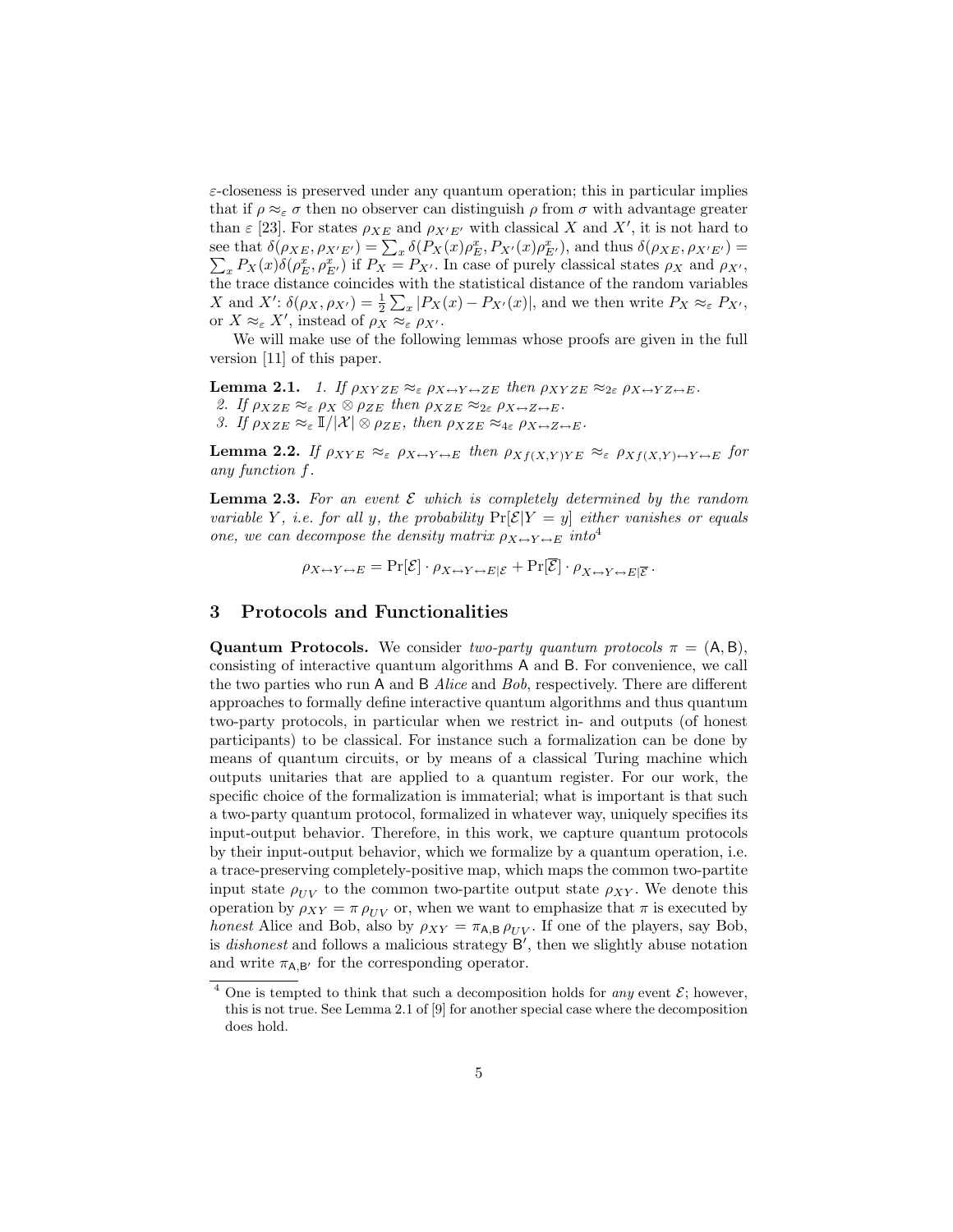$\varepsilon$ -closeness is preserved under any quantum operation; this in particular implies that if  $\rho \approx_{\varepsilon} \sigma$  then no observer can distinguish  $\rho$  from  $\sigma$  with advantage greater than  $\varepsilon$  [23]. For states  $\rho_{XE}$  and  $\rho_{X'E'}$  with classical X and X', it is not hard to see that  $\delta(\rho_{XE}, \rho_{X'E'}) = \sum_x \delta(P_X(x) \rho_E^x, P_{X'}(x) \rho_E^x)$ P  $E(E<sub>E'</sub>)$ , and thus  $\delta(\rho_{XE}, \rho_{X'E'}) =$  ${}_x P_X(x)\delta(\rho_E^x, \rho_{E'}^x)$  if  $P_X = P_{X'}$ . In case of purely classical states  $\rho_X$  and  $\rho_{X'}$ , the trace distance coincides with the statistical distance of the random variables X and X':  $\delta(\rho_X, \rho_{X'}) = \frac{1}{2} \sum_x |P_X(x) - P_{X'}(x)|$ , and we then write  $P_X \approx_{\varepsilon} P_{X'}$ , or  $X \approx_{\varepsilon} X'$ , instead of  $\rho_X \approx_{\varepsilon} \rho_{X'}$ .

We will make use of the following lemmas whose proofs are given in the full version [11] of this paper.

**Lemma 2.1.** 1. If  $\rho_{XYZE} \approx_{\varepsilon} \rho_{X \leftrightarrow Y \leftrightarrow ZE}$  then  $\rho_{XYZE} \approx_{2\varepsilon} \rho_{X \leftrightarrow YZ \leftrightarrow E}$ . 2. If  $\rho_{XZE} \approx_{\varepsilon} \rho_X \otimes \rho_{ZE}$  then  $\rho_{XZE} \approx_{2\varepsilon} \rho_{X \leftrightarrow Z \leftrightarrow E}$ . 3. If  $\rho_{XZE} \approx_{\varepsilon} I/|\mathcal{X}| \otimes \rho_{ZE}$ , then  $\rho_{XZE} \approx_{4\varepsilon} \rho_{X \leftrightarrow Z \leftrightarrow E}$ .

**Lemma 2.2.** If  $\rho_{XYE} \approx_{\varepsilon} \rho_{X \leftrightarrow Y \leftrightarrow E}$  then  $\rho_{Xf(X,Y)YE} \approx_{\varepsilon} \rho_{Xf(X,Y) \leftrightarrow Y \leftrightarrow E}$  for any function f.

**Lemma 2.3.** For an event  $\mathcal E$  which is completely determined by the random variable Y, i.e. for all y, the probability  $Pr[\mathcal{E}|Y=y]$  either vanishes or equals one, we can decompose the density matrix  $\rho_{X \leftrightarrow Y \leftrightarrow E}$  into<sup>4</sup>

 $\rho_{X \leftrightarrow Y \leftrightarrow E} = \Pr[\mathcal{E}] \cdot \rho_{X \leftrightarrow Y \leftrightarrow E | \mathcal{E}} + \Pr[\mathcal{E}] \cdot \rho_{X \leftrightarrow Y \leftrightarrow E | \overline{\mathcal{E}}} \, .$ 

### 3 Protocols and Functionalities

**Quantum Protocols.** We consider two-party quantum protocols  $\pi = (A, B)$ , consisting of interactive quantum algorithms A and B. For convenience, we call the two parties who run A and B Alice and Bob, respectively. There are different approaches to formally define interactive quantum algorithms and thus quantum two-party protocols, in particular when we restrict in- and outputs (of honest participants) to be classical. For instance such a formalization can be done by means of quantum circuits, or by means of a classical Turing machine which outputs unitaries that are applied to a quantum register. For our work, the specific choice of the formalization is immaterial; what is important is that such a two-party quantum protocol, formalized in whatever way, uniquely specifies its input-output behavior. Therefore, in this work, we capture quantum protocols by their input-output behavior, which we formalize by a quantum operation, i.e. a trace-preserving completely-positive map, which maps the common two-partite input state  $\rho_{UV}$  to the common two-partite output state  $\rho_{XY}$ . We denote this operation by  $\rho_{XY} = \pi \rho_{UV}$  or, when we want to emphasize that  $\pi$  is executed by honest Alice and Bob, also by  $\rho_{XY} = \pi_{A,B} \rho_{UV}$ . If one of the players, say Bob, is *dishonest* and follows a malicious strategy  $B'$ , then we slightly abuse notation and write  $\pi_{A,B'}$  for the corresponding operator.

<sup>&</sup>lt;sup>4</sup> One is tempted to think that such a decomposition holds for *any* event  $\mathcal{E}$ ; however, this is not true. See Lemma 2.1 of [9] for another special case where the decomposition does hold.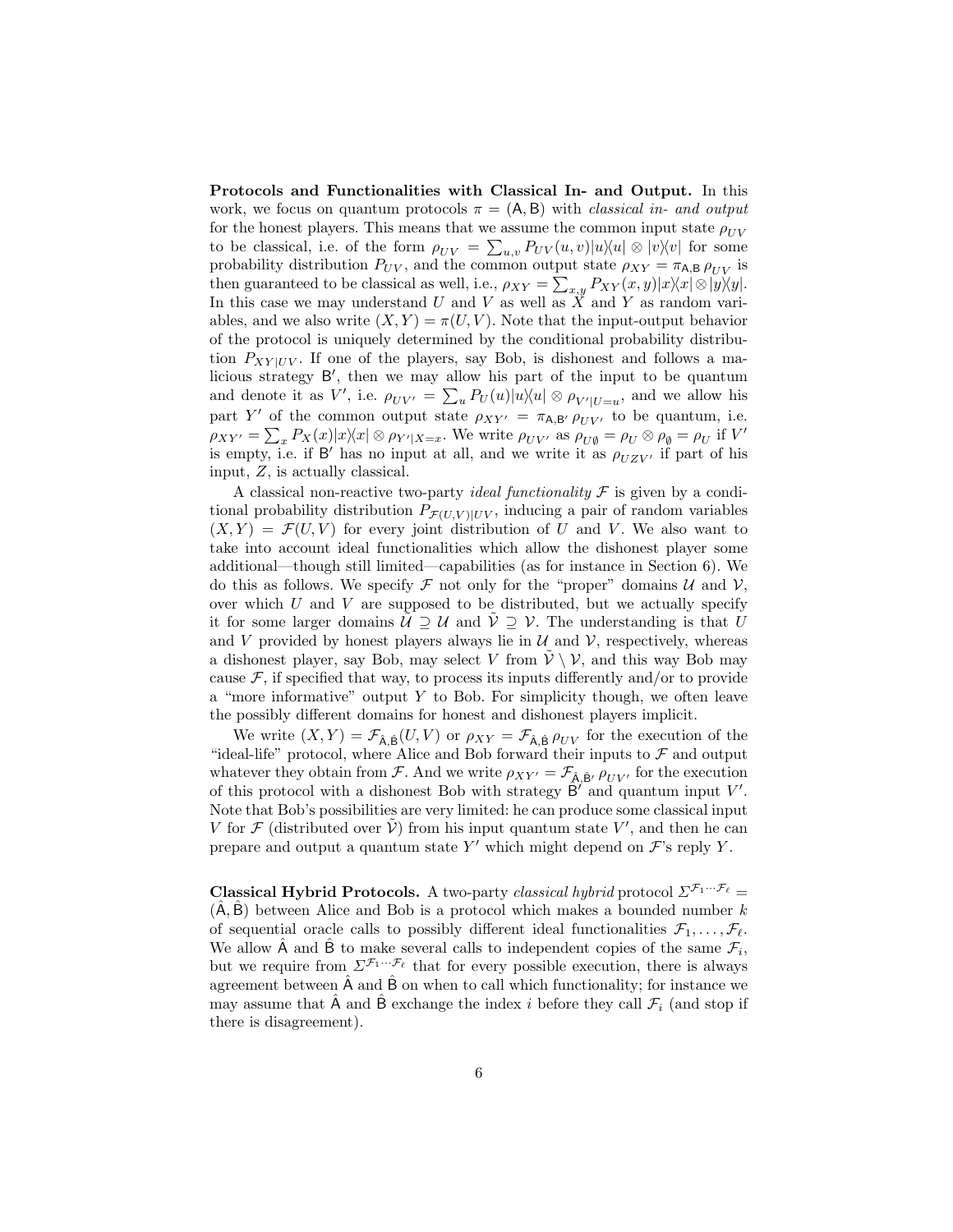Protocols and Functionalities with Classical In- and Output. In this work, we focus on quantum protocols  $\pi = (A, B)$  with *classical in- and output* for the honest players. This means that we assume the common input state  $\rho_{UV}$ to be classical, i.e. of the form  $\rho_{UV} = \sum_{u,v} P_{UV}(u,v) |u\rangle\langle u| \otimes |v\rangle\langle v|$  for some probability distribution  $P_{UV}$ , and the common output state  $\rho_{XY} = \pi_{A,B} \rho_{UV}$  is then guaranteed to be classical as well, i.e.,  $\rho_{XY} = \sum_{x,y} P_{XY}(x,y) |x\rangle\langle x| \otimes |y\rangle\langle y|$ . In this case we may understand U and V as well as  $\tilde{X}$  and Y as random variables, and we also write  $(X, Y) = \pi(U, V)$ . Note that the input-output behavior of the protocol is uniquely determined by the conditional probability distribution  $P_{XY|UV}$ . If one of the players, say Bob, is dishonest and follows a malicious strategy B', then we may allow his part of the input to be quantum and denote it as V', i.e.  $\rho_{UV'} = \sum_u P_U(u) |u\rangle\langle u| \otimes \rho_{V'|U=u}$ , and we allow his part Y' of the common output state  $\rho_{XY'} = \pi_{A,B'} \rho_{UV'}$  to be quantum, i.e.  $\rho_{XY'} = \sum_x P_X(x) |x\rangle\langle x| \otimes \rho_{Y'|X=x}$ . We write  $\rho_{UV'}$  as  $\rho_{U\emptyset} = \rho_U \otimes \rho_{\emptyset} = \rho_U$  if V' is empty, i.e. if B' has no input at all, and we write it as  $\rho_{UZV'}$  if part of his input, Z, is actually classical.

A classical non-reactive two-party *ideal functionality*  $\mathcal F$  is given by a conditional probability distribution  $P_{\mathcal{F}(U,V) | UV}$ , inducing a pair of random variables  $(X, Y) = \mathcal{F}(U, V)$  for every joint distribution of U and V. We also want to take into account ideal functionalities which allow the dishonest player some additional—though still limited—capabilities (as for instance in Section 6). We do this as follows. We specify  $\mathcal F$  not only for the "proper" domains  $\mathcal U$  and  $\mathcal V$ , over which  $U$  and  $V$  are supposed to be distributed, but we actually specify it for some larger domains  $\tilde{U} \supseteq U$  and  $\tilde{V} \supseteq V$ . The understanding is that U and  $V$  provided by honest players always lie in  $U$  and  $V$ , respectively, whereas a dishonest player, say Bob, may select V from  $V \setminus V$ , and this way Bob may cause  $\mathcal F$ , if specified that way, to process its inputs differently and/or to provide a "more informative" output  $Y$  to Bob. For simplicity though, we often leave the possibly different domains for honest and dishonest players implicit.

We write  $(X, Y) = \mathcal{F}_{\hat{A}, \hat{B}}(U, V)$  or  $\rho_{XY} = \mathcal{F}_{\hat{A}, \hat{B}} \rho_{UV}$  for the execution of the "ideal-life" protocol, where Alice and Bob forward their inputs to  $\mathcal F$  and output whatever they obtain from F. And we write  $\rho_{XY'} = \mathcal{F}_{\hat{A}, \hat{B}'} \rho_{UV'}$  for the execution of this protocol with a dishonest Bob with strategy  $\widehat{B}'$  and quantum input V'. Note that Bob's possibilities are very limited: he can produce some classical input V for  $\mathcal F$  (distributed over  $\tilde{\mathcal V}$ ) from his input quantum state V', and then he can prepare and output a quantum state  $Y'$  which might depend on  $\mathcal{F}'$ 's reply Y.

**Classical Hybrid Protocols.** A two-party classical hybrid protocol  $\Sigma^{\mathcal{F}_1 \cdots \mathcal{F}_\ell}$  =  $(A, B)$  between Alice and Bob is a protocol which makes a bounded number  $k$ of sequential oracle calls to possibly different ideal functionalities  $\mathcal{F}_1, \ldots, \mathcal{F}_\ell$ . We allow  $\hat{A}$  and  $\hat{B}$  to make several calls to independent copies of the same  $\mathcal{F}_i$ , but we require from  $\Sigma^{\mathcal{F}_1 \cdots \mathcal{F}_\ell}$  that for every possible execution, there is always agreement between  $\hat{A}$  and  $\hat{B}$  on when to call which functionality; for instance we may assume that  $\hat{A}$  and  $\hat{B}$  exchange the index i before they call  $\mathcal{F}_i$  (and stop if there is disagreement).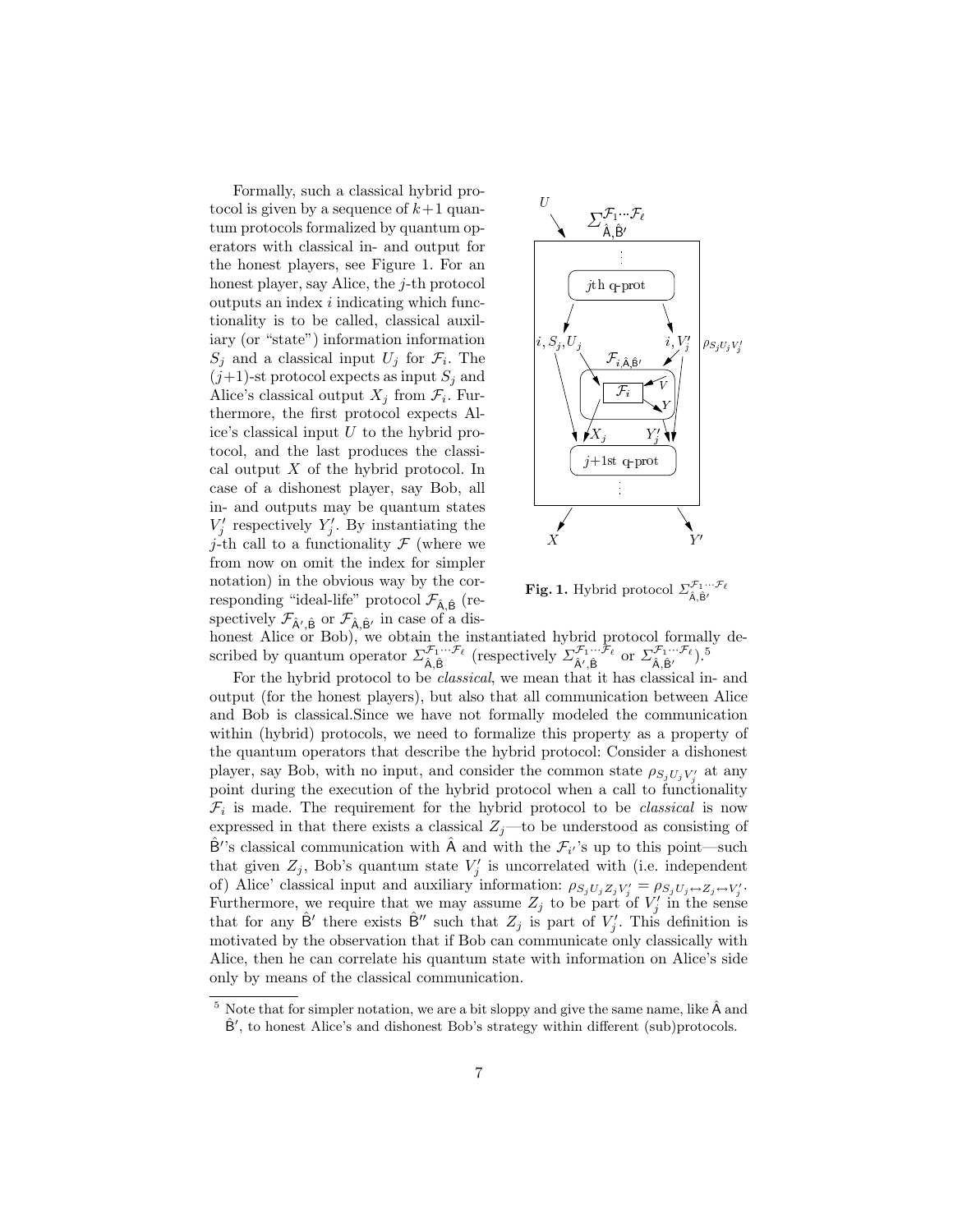Formally, such a classical hybrid protocol is given by a sequence of  $k+1$  quantum protocols formalized by quantum operators with classical in- and output for the honest players, see Figure 1. For an honest player, say Alice, the j-th protocol outputs an index i indicating which functionality is to be called, classical auxiliary (or "state") information information  $S_j$  and a classical input  $U_j$  for  $\mathcal{F}_i$ . The  $(j+1)$ -st protocol expects as input  $S_j$  and Alice's classical output  $X_j$  from  $\mathcal{F}_i$ . Furthermore, the first protocol expects Alice's classical input  $U$  to the hybrid protocol, and the last produces the classical output  $X$  of the hybrid protocol. In case of a dishonest player, say Bob, all in- and outputs may be quantum states  $V'_j$  respectively  $Y'_j$ . By instantiating the *j*-th call to a functionality  $\mathcal F$  (where we from now on omit the index for simpler notation) in the obvious way by the corresponding "ideal-life" protocol  $\mathcal{F}_{\hat{A},\hat{B}}$  (respectively  $\mathcal{F}_{\hat{A}',\hat{B}}$  or  $\mathcal{F}_{\hat{A},\hat{B}'}$  in case of a dis-



**Fig. 1.** Hybrid protocol  $\sum_{\hat{\mathsf{A}},\hat{\mathsf{B}}'}^{\mathcal{F}_1 \cdots \mathcal{F}_\ell}$ 

honest Alice or Bob), we obtain the instantiated hybrid protocol formally described by quantum operator  $\Sigma_{\hat{\mathsf{A}},\hat{\mathsf{B}}}^{\mathcal{F}_1 \cdots \mathcal{F}_\ell}$  (respectively  $\Sigma_{\hat{\mathsf{A}}',\hat{\mathsf{B}}}^{\mathcal{F}_1 \cdots \mathcal{F}_\ell}$  or  $\Sigma_{\hat{\mathsf{A}},\hat{\mathsf{B}}}^{\mathcal{F}_1 \cdots \mathcal{F}_\ell}$ ).<sup>5</sup>

For the hybrid protocol to be classical, we mean that it has classical in- and output (for the honest players), but also that all communication between Alice and Bob is classical.Since we have not formally modeled the communication within (hybrid) protocols, we need to formalize this property as a property of the quantum operators that describe the hybrid protocol: Consider a dishonest player, say Bob, with no input, and consider the common state  $\rho_{S_j U_j V'_j}$  at any point during the execution of the hybrid protocol when a call to functionality  $\mathcal{F}_i$  is made. The requirement for the hybrid protocol to be *classical* is now expressed in that there exists a classical  $Z_j$ —to be understood as consisting of  $\hat{B}$ ''s classical communication with  $\hat{A}$  and with the  $\mathcal{F}_{i'}$ 's up to this point—such that given  $Z_j$ , Bob's quantum state  $V'_j$  is uncorrelated with (i.e. independent of) Alice' classical input and auxiliary information:  $\rho_{S_jU_jZ_jV'_j} = \rho_{S_jU_j \leftrightarrow Z_j \leftrightarrow V'_j}$ . Furthermore, we require that we may assume  $Z_j$  to be part of  $V'_j$  in the sense that for any  $\hat{B}'$  there exists  $\hat{B}''$  such that  $Z_j$  is part of  $V'_j$ . This definition is motivated by the observation that if Bob can communicate only classically with Alice, then he can correlate his quantum state with information on Alice's side only by means of the classical communication.

 $5$  Note that for simpler notation, we are a bit sloppy and give the same name, like  $\hat{A}$  and  $\hat{B}'$ , to honest Alice's and dishonest Bob's strategy within different (sub)protocols.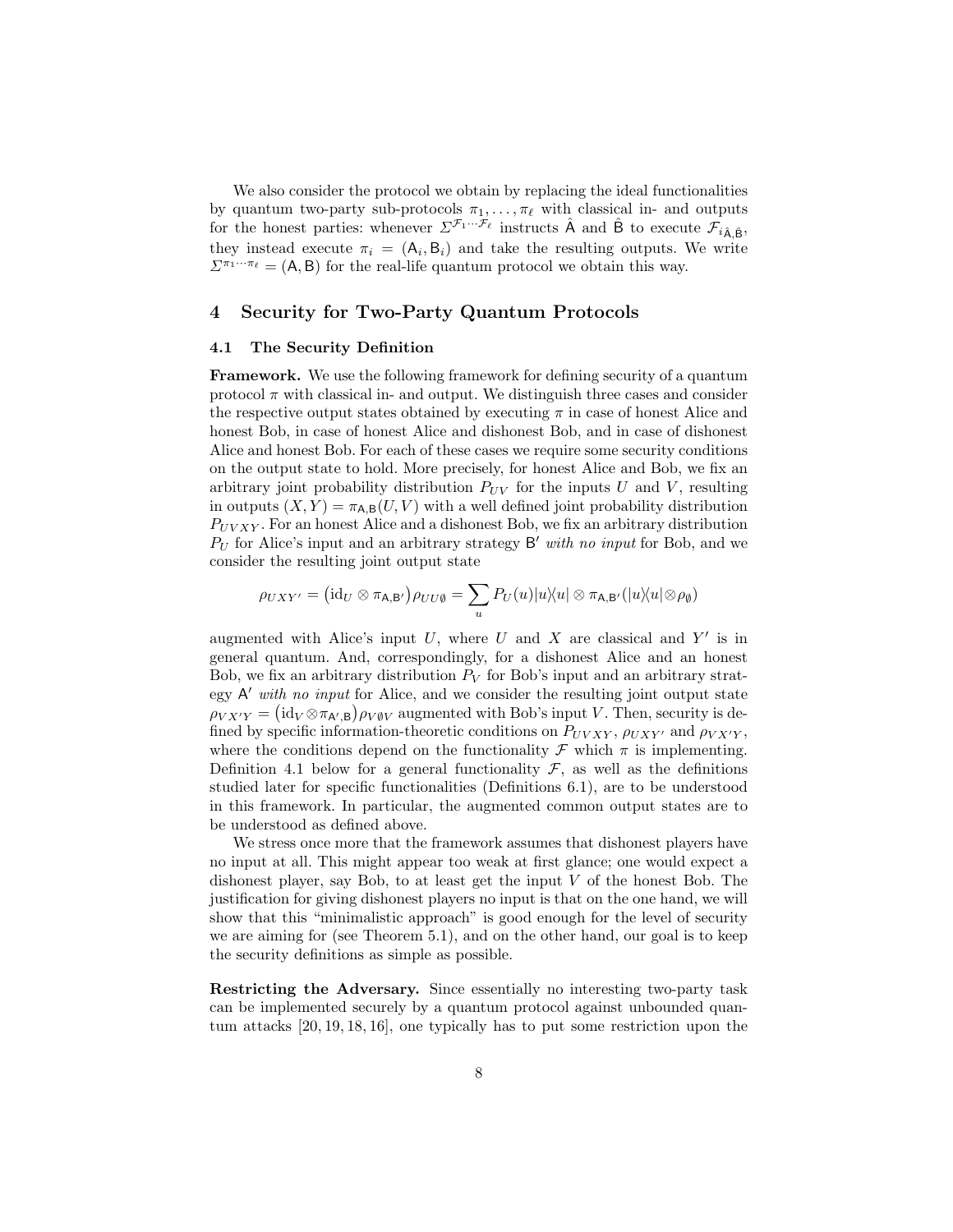We also consider the protocol we obtain by replacing the ideal functionalities by quantum two-party sub-protocols  $\pi_1, \ldots, \pi_\ell$  with classical in- and outputs for the honest parties: whenever  $\Sigma^{\mathcal{F}_1 \cdots \mathcal{F}_\ell}$  instructs  $\hat{A}$  and  $\hat{B}$  to execute  $\mathcal{F}_{i\hat{A},\hat{B}},$ they instead execute  $\pi_i = (A_i, B_i)$  and take the resulting outputs. We write  $\Sigma^{\pi_1 \cdots \pi_\ell} = (A, B)$  for the real-life quantum protocol we obtain this way.

### 4 Security for Two-Party Quantum Protocols

#### 4.1 The Security Definition

Framework. We use the following framework for defining security of a quantum protocol  $\pi$  with classical in- and output. We distinguish three cases and consider the respective output states obtained by executing  $\pi$  in case of honest Alice and honest Bob, in case of honest Alice and dishonest Bob, and in case of dishonest Alice and honest Bob. For each of these cases we require some security conditions on the output state to hold. More precisely, for honest Alice and Bob, we fix an arbitrary joint probability distribution  $P_{UV}$  for the inputs U and V, resulting in outputs  $(X, Y) = \pi_{A,B}(U, V)$  with a well defined joint probability distribution  $P_{UVXY}$ . For an honest Alice and a dishonest Bob, we fix an arbitrary distribution  $P_U$  for Alice's input and an arbitrary strategy  $B'$  with no input for Bob, and we consider the resulting joint output state

$$
\rho_{UXY'} = (\mathrm{id}_U \otimes \pi_{\mathsf{A},\mathsf{B}'}) \rho_{UU\emptyset} = \sum_u P_U(u) |u\rangle\langle u| \otimes \pi_{\mathsf{A},\mathsf{B}'}(|u\rangle\langle u| \otimes \rho_{\emptyset})
$$

augmented with Alice's input  $U$ , where  $U$  and  $X$  are classical and  $Y'$  is in general quantum. And, correspondingly, for a dishonest Alice and an honest Bob, we fix an arbitrary distribution  $P_V$  for Bob's input and an arbitrary strategy  $A'$  with no input for Alice, and we consider the resulting joint output state  $\rho_{V X' Y} = (\mathrm{id}_V \otimes \pi_{A', B}) \rho_{V \emptyset V}$  augmented with Bob's input V. Then, security is defined by specific information-theoretic conditions on  $P_{UVXY}$ ,  $\rho_{UXY}$  and  $\rho_{VX'Y}$ , where the conditions depend on the functionality  $\mathcal F$  which  $\pi$  is implementing. Definition 4.1 below for a general functionality  $\mathcal{F}$ , as well as the definitions studied later for specific functionalities (Definitions 6.1), are to be understood in this framework. In particular, the augmented common output states are to be understood as defined above.

We stress once more that the framework assumes that dishonest players have no input at all. This might appear too weak at first glance; one would expect a dishonest player, say Bob, to at least get the input  $V$  of the honest Bob. The justification for giving dishonest players no input is that on the one hand, we will show that this "minimalistic approach" is good enough for the level of security we are aiming for (see Theorem 5.1), and on the other hand, our goal is to keep the security definitions as simple as possible.

Restricting the Adversary. Since essentially no interesting two-party task can be implemented securely by a quantum protocol against unbounded quantum attacks [20, 19, 18, 16], one typically has to put some restriction upon the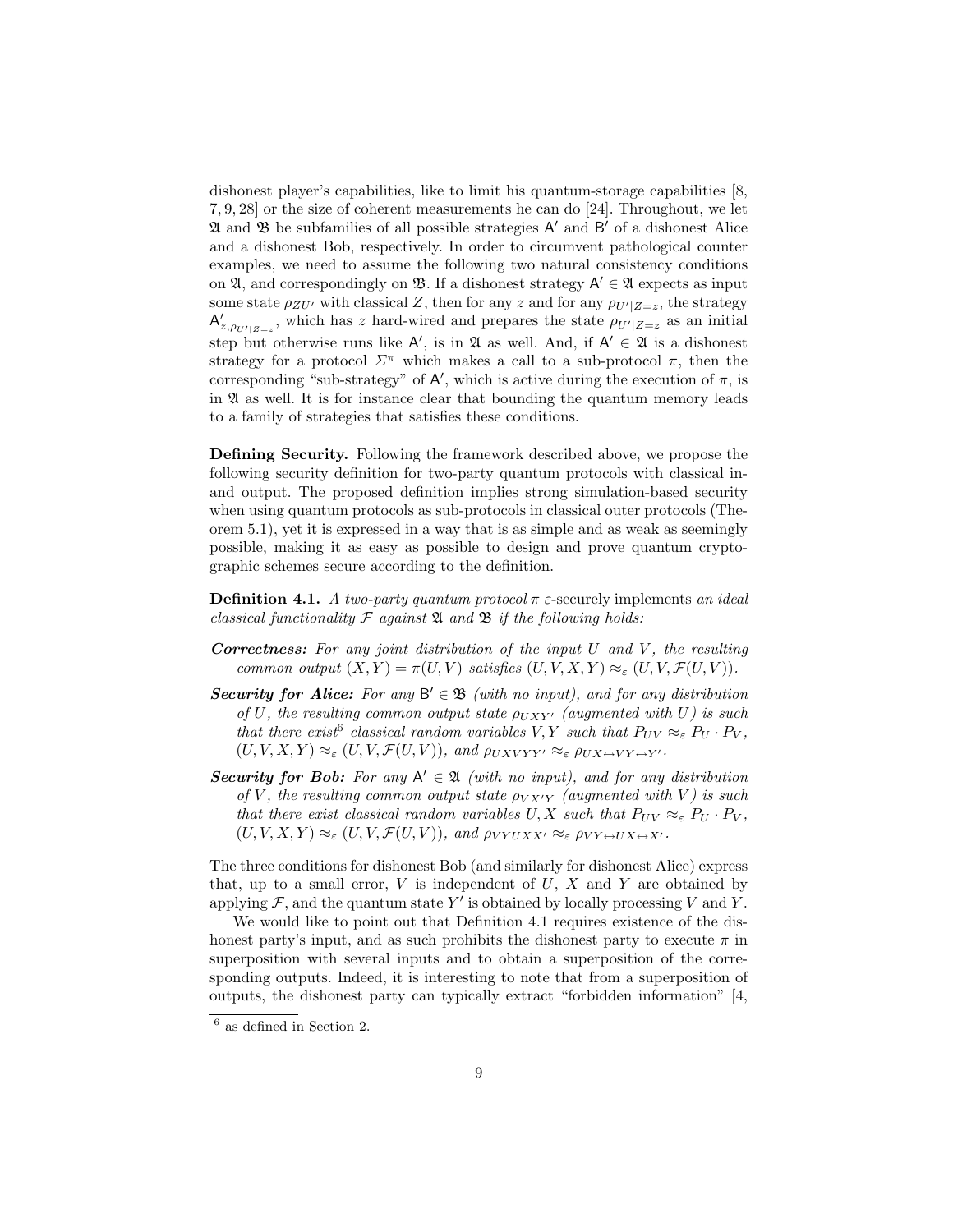dishonest player's capabilities, like to limit his quantum-storage capabilities [8, 7, 9, 28] or the size of coherent measurements he can do [24]. Throughout, we let  $\mathfrak A$  and  $\mathfrak B$  be subfamilies of all possible strategies  $\mathsf A'$  and  $\mathsf B'$  of a dishonest Alice and a dishonest Bob, respectively. In order to circumvent pathological counter examples, we need to assume the following two natural consistency conditions on  $\mathfrak{A}$ , and correspondingly on  $\mathfrak{B}$ . If a dishonest strategy  $\mathsf{A}' \in \mathfrak{A}$  expects as input some state  $\rho_{ZU'}$  with classical Z, then for any z and for any  $\rho_{U'|Z=z}$ , the strategy  $A'_{z, \rho_{U'|Z=z}}$ , which has z hard-wired and prepares the state  $\rho_{U'|Z=z}$  as an initial step but otherwise runs like  $A'$ , is in  $\mathfrak A$  as well. And, if  $A' \in \mathfrak A$  is a dishonest strategy for a protocol  $\Sigma^{\pi}$  which makes a call to a sub-protocol  $\pi$ , then the corresponding "sub-strategy" of  $A'$ , which is active during the execution of  $\pi$ , is in  $\mathfrak A$  as well. It is for instance clear that bounding the quantum memory leads to a family of strategies that satisfies these conditions.

Defining Security. Following the framework described above, we propose the following security definition for two-party quantum protocols with classical inand output. The proposed definition implies strong simulation-based security when using quantum protocols as sub-protocols in classical outer protocols (Theorem 5.1), yet it is expressed in a way that is as simple and as weak as seemingly possible, making it as easy as possible to design and prove quantum cryptographic schemes secure according to the definition.

**Definition 4.1.** A two-party quantum protocol  $\pi$  *ε*-securely implements an ideal classical functionality  $\mathcal F$  against  $\mathfrak A$  and  $\mathfrak B$  if the following holds:

- **Correctness:** For any joint distribution of the input  $U$  and  $V$ , the resulting common output  $(X, Y) = \pi(U, V)$  satisfies  $(U, V, X, Y) \approx_{\varepsilon} (U, V, \mathcal{F}(U, V))$ .
- Security for Alice: For any  $B' \in \mathcal{B}$  (with no input), and for any distribution of U, the resulting common output state  $\rho_{UXY'}$  (augmented with U) is such that there exist<sup>6</sup> classical random variables V, Y such that  $P_{UV} \approx_{\varepsilon} P_U \cdot P_V$ ,  $(U, V, X, Y) \approx_{\varepsilon} (U, V, \mathcal{F}(U, V)),$  and  $\rho_{UX V Y Y'} \approx_{\varepsilon} \rho_{UX \leftrightarrow V Y \leftrightarrow Y'}$ .
- Security for Bob: For any  $A' \in \mathfrak{A}$  (with no input), and for any distribution of V, the resulting common output state  $\rho_{V X' Y}$  (augmented with V) is such that there exist classical random variables U, X such that  $P_{UV} \approx_{\varepsilon} P_U \cdot P_V$ ,  $(U, V, X, Y) \approx_{\varepsilon} (U, V, \mathcal{F}(U, V)),$  and  $\rho_{VYUXX'} \approx_{\varepsilon} \rho_{VY \leftrightarrow UX \leftrightarrow X'}$ .

The three conditions for dishonest Bob (and similarly for dishonest Alice) express that, up to a small error,  $V$  is independent of  $U, X$  and  $Y$  are obtained by applying  $\mathcal F$ , and the quantum state  $Y'$  is obtained by locally processing V and Y.

We would like to point out that Definition 4.1 requires existence of the dishonest party's input, and as such prohibits the dishonest party to execute  $\pi$  in superposition with several inputs and to obtain a superposition of the corresponding outputs. Indeed, it is interesting to note that from a superposition of outputs, the dishonest party can typically extract "forbidden information" [4,

<sup>6</sup> as defined in Section 2.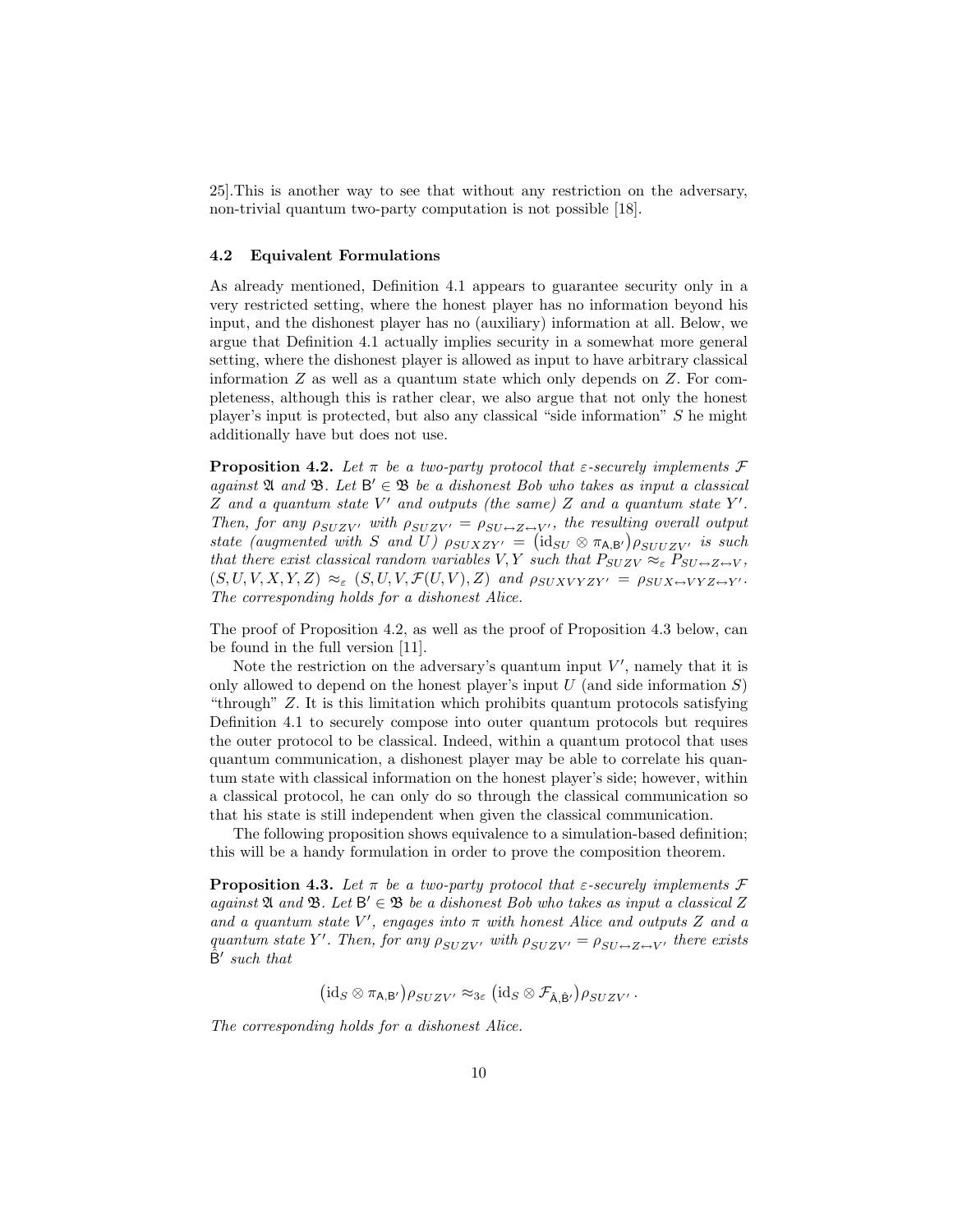25].This is another way to see that without any restriction on the adversary, non-trivial quantum two-party computation is not possible [18].

#### 4.2 Equivalent Formulations

As already mentioned, Definition 4.1 appears to guarantee security only in a very restricted setting, where the honest player has no information beyond his input, and the dishonest player has no (auxiliary) information at all. Below, we argue that Definition 4.1 actually implies security in a somewhat more general setting, where the dishonest player is allowed as input to have arbitrary classical information  $Z$  as well as a quantum state which only depends on  $Z$ . For completeness, although this is rather clear, we also argue that not only the honest player's input is protected, but also any classical "side information" S he might additionally have but does not use.

**Proposition 4.2.** Let  $\pi$  be a two-party protocol that  $\varepsilon$ -securely implements  $\mathcal F$ against  $\mathfrak A$  and  $\mathfrak B$ . Let  $\mathsf B' \in \mathfrak B$  be a dishonest Bob who takes as input a classical Z and a quantum state  $V'$  and outputs (the same) Z and a quantum state  $Y'$ . Then, for any  $\rho_{SUZV'}$  with  $\rho_{SUZV'} = \rho_{SU \leftrightarrow Z \leftrightarrow V'}$ , the resulting overall output state (augmented with S and U)  $\rho_{SUXZY} = (\text{id}_{SU} \otimes \pi_{A,B'}) \rho_{SULZY}$  is such that there exist classical random variables V, Y such that  $P_{SUZV} \approx_{\varepsilon} P_{SU \leftrightarrow Z \leftrightarrow V}$ ,  $(S, U, V, X, Y, Z) \approx_{\varepsilon} (S, U, V, \mathcal{F}(U, V), Z)$  and  $\rho_{SUXVYZY'} = \rho_{SUX \leftrightarrow VYZ \leftrightarrow Y'}$ . The corresponding holds for a dishonest Alice.

The proof of Proposition 4.2, as well as the proof of Proposition 4.3 below, can be found in the full version [11].

Note the restriction on the adversary's quantum input  $V'$ , namely that it is only allowed to depend on the honest player's input  $U$  (and side information  $S$ ) "through" Z. It is this limitation which prohibits quantum protocols satisfying Definition 4.1 to securely compose into outer quantum protocols but requires the outer protocol to be classical. Indeed, within a quantum protocol that uses quantum communication, a dishonest player may be able to correlate his quantum state with classical information on the honest player's side; however, within a classical protocol, he can only do so through the classical communication so that his state is still independent when given the classical communication.

The following proposition shows equivalence to a simulation-based definition; this will be a handy formulation in order to prove the composition theorem.

**Proposition 4.3.** Let  $\pi$  be a two-party protocol that  $\varepsilon$ -securely implements  $\mathcal F$ against  $\mathfrak A$  and  $\mathfrak B$ . Let  $\mathsf B'\in\mathfrak B$  be a dishonest Bob who takes as input a classical Z and a quantum state  $V'$ , engages into  $\pi$  with honest Alice and outputs Z and a quantum state Y'. Then, for any  $\rho_{SUZV'}$  with  $\rho_{SUZV'} = \rho_{SU \leftrightarrow Z \leftrightarrow V'}$  there exists  $\hat{B}'$  such that

 $(\mathrm{id}_S \otimes \pi_{\mathsf{A},\mathsf{B}'}) \rho_{SUZV'} \approx_{3\varepsilon} (\mathrm{id}_S \otimes \mathcal{F}_{\hat{\mathsf{A}},\hat{\mathsf{B}'}}) \rho_{SUZV'}$ 

The corresponding holds for a dishonest Alice.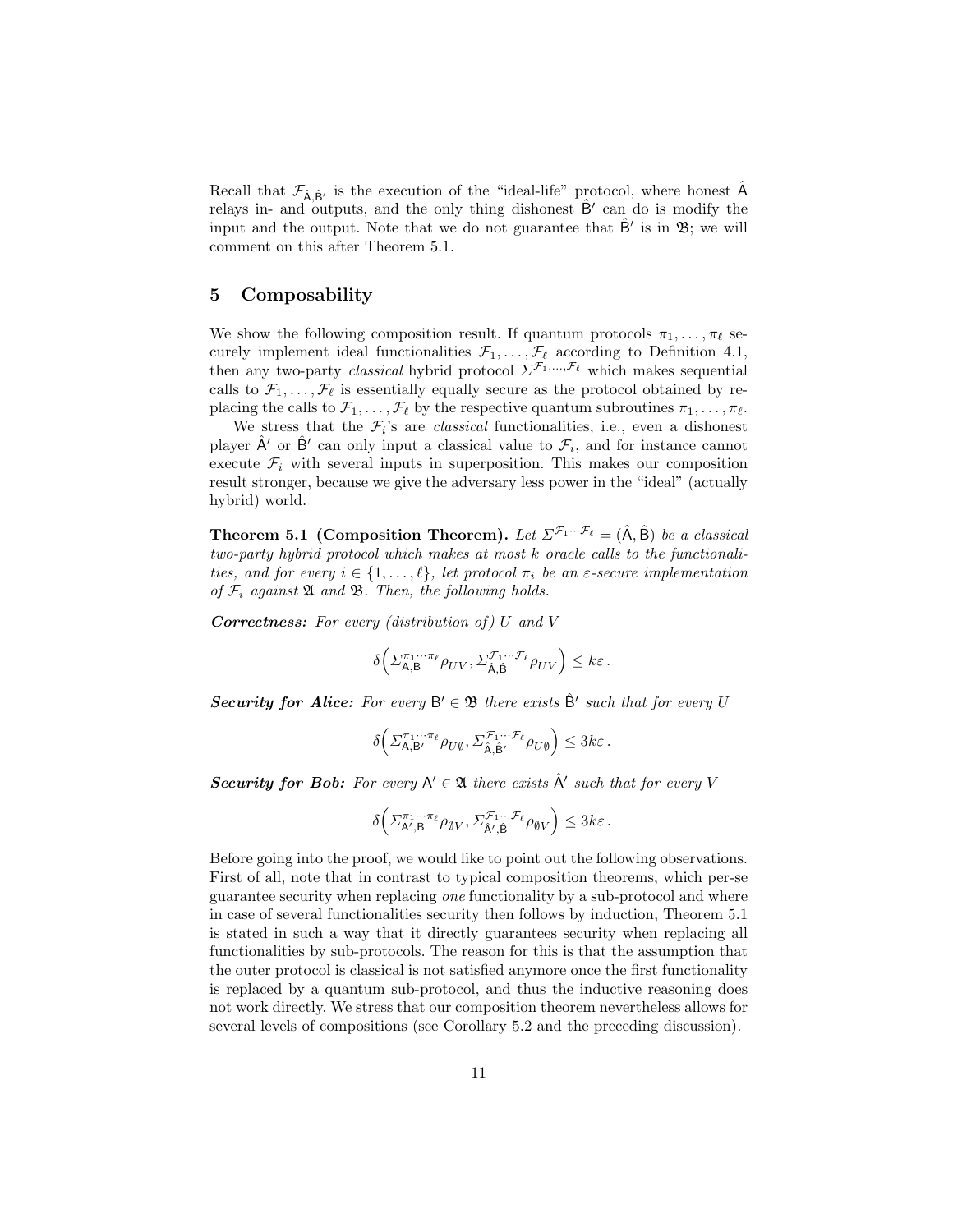Recall that  $\mathcal{F}_{\hat{A} \hat{B}'}$  is the execution of the "ideal-life" protocol, where honest  $\hat{A}$ relays in- and outputs, and the only thing dishonest  $\hat{B}'$  can do is modify the input and the output. Note that we do not guarantee that  $\hat{B}'$  is in  $\mathfrak{B}$ ; we will comment on this after Theorem 5.1.

# 5 Composability

We show the following composition result. If quantum protocols  $\pi_1, \ldots, \pi_\ell$  securely implement ideal functionalities  $\mathcal{F}_1, \ldots, \mathcal{F}_\ell$  according to Definition 4.1, then any two-party *classical* hybrid protocol  $\sum \tilde{\mathcal{F}_{1}},...,\tilde{\mathcal{F}_{\ell}}$  which makes sequential calls to  $\mathcal{F}_1, \ldots, \mathcal{F}_\ell$  is essentially equally secure as the protocol obtained by replacing the calls to  $\mathcal{F}_1, \ldots, \mathcal{F}_\ell$  by the respective quantum subroutines  $\pi_1, \ldots, \pi_\ell$ .

We stress that the  $\mathcal{F}_i$ 's are *classical* functionalities, i.e., even a dishonest player  $\hat{A}'$  or  $\hat{B}'$  can only input a classical value to  $\mathcal{F}_i$ , and for instance cannot execute  $\mathcal{F}_i$  with several inputs in superposition. This makes our composition result stronger, because we give the adversary less power in the "ideal" (actually hybrid) world.

**Theorem 5.1 (Composition Theorem).** Let  $\Sigma^{\mathcal{F}_1 \cdots \mathcal{F}_\ell} = (\hat{A}, \hat{B})$  be a classical two-party hybrid protocol which makes at most k oracle calls to the functionalities, and for every  $i \in \{1, \ldots, \ell\}$ , let protocol  $\pi_i$  be an  $\varepsilon$ -secure implementation of  $\mathcal{F}_i$  against  $\mathfrak A$  and  $\mathfrak B$ . Then, the following holds.

**Correctness:** For every (distribution of)  $U$  and  $V$ 

$$
\delta\Big(\varSigma_{\mathsf{A},\mathsf{B}}^{\pi_1\cdots \pi_\ell}\rho_{UV},\varSigma_{\hat{\mathsf{A}},\hat{\mathsf{B}}}^{\mathcal{F}_1\cdots \mathcal{F}_\ell}\rho_{UV}\Big)\leq k\varepsilon\,.
$$

**Security for Alice:** For every  $B' \in \mathcal{B}$  there exists  $\hat{B}'$  such that for every U

$$
\delta\Big(\varSigma_{\mathsf{A},\mathsf{B}'}^{\pi_1\cdots\pi_\ell}\rho_{U\emptyset},\varSigma_{\hat{\mathsf{A}},\hat{\mathsf{B}}'}^{\mathcal{F}_1\cdots\mathcal{F}_\ell}\rho_{U\emptyset}\Big)\leq 3k\varepsilon\,.
$$

**Security for Bob:** For every  $A' \in \mathfrak{A}$  there exists  $\hat{A}'$  such that for every V

$$
\delta\left(\Sigma^{\pi_1\cdots\pi_\ell}_{\mathsf{A}',\mathsf{B}}\rho_{\emptyset V},\Sigma^{\mathcal{F}_1\cdots\mathcal{F}_\ell}_{\hat{\mathsf{A}}',\hat{\mathsf{B}}}\rho_{\emptyset V}\right)\leq 3k\varepsilon.
$$

Before going into the proof, we would like to point out the following observations. First of all, note that in contrast to typical composition theorems, which per-se guarantee security when replacing one functionality by a sub-protocol and where in case of several functionalities security then follows by induction, Theorem 5.1 is stated in such a way that it directly guarantees security when replacing all functionalities by sub-protocols. The reason for this is that the assumption that the outer protocol is classical is not satisfied anymore once the first functionality is replaced by a quantum sub-protocol, and thus the inductive reasoning does not work directly. We stress that our composition theorem nevertheless allows for several levels of compositions (see Corollary 5.2 and the preceding discussion).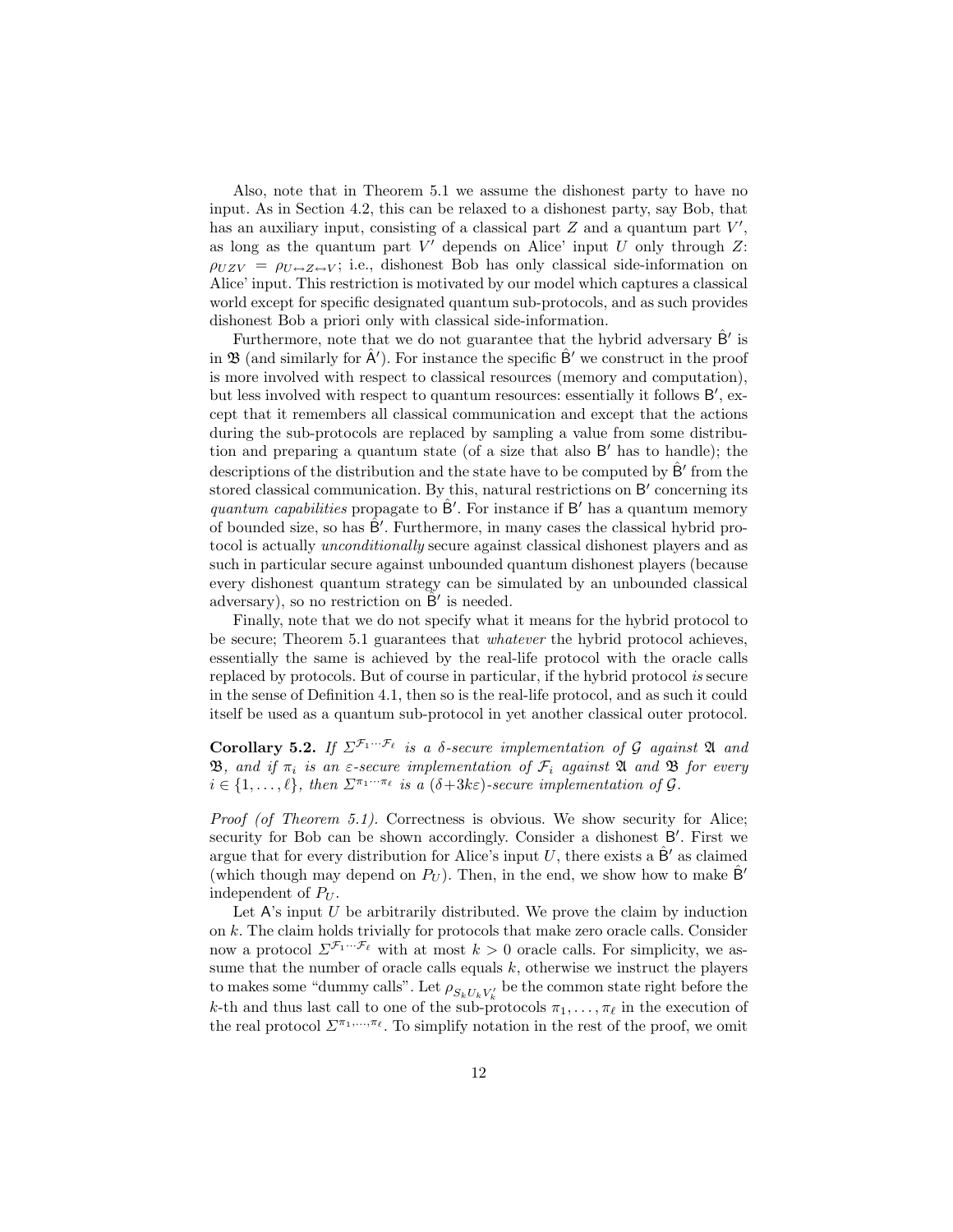Also, note that in Theorem 5.1 we assume the dishonest party to have no input. As in Section 4.2, this can be relaxed to a dishonest party, say Bob, that has an auxiliary input, consisting of a classical part  $Z$  and a quantum part  $V'$ , as long as the quantum part  $V'$  depends on Alice' input  $U$  only through  $Z$ :  $\rho_{UZV} = \rho_{U\leftrightarrow Z\leftrightarrow V}$ ; i.e., dishonest Bob has only classical side-information on Alice' input. This restriction is motivated by our model which captures a classical world except for specific designated quantum sub-protocols, and as such provides dishonest Bob a priori only with classical side-information.

Furthermore, note that we do not guarantee that the hybrid adversary  $\hat{\mathsf{B}}'$  is in  $\mathfrak B$  (and similarly for  $\hat A'$ ). For instance the specific  $\hat B'$  we construct in the proof is more involved with respect to classical resources (memory and computation), but less involved with respect to quantum resources: essentially it follows B', except that it remembers all classical communication and except that the actions during the sub-protocols are replaced by sampling a value from some distribution and preparing a quantum state (of a size that also B' has to handle); the descriptions of the distribution and the state have to be computed by  $\hat{B}'$  from the stored classical communication. By this, natural restrictions on B' concerning its quantum capabilities propagate to  $\hat{B}'$ . For instance if B' has a quantum memory of bounded size, so has  $\hat{B}'$ . Furthermore, in many cases the classical hybrid protocol is actually unconditionally secure against classical dishonest players and as such in particular secure against unbounded quantum dishonest players (because every dishonest quantum strategy can be simulated by an unbounded classical adversary), so no restriction on  $\tilde{B}'$  is needed.

Finally, note that we do not specify what it means for the hybrid protocol to be secure; Theorem 5.1 guarantees that whatever the hybrid protocol achieves, essentially the same is achieved by the real-life protocol with the oracle calls replaced by protocols. But of course in particular, if the hybrid protocol is secure in the sense of Definition 4.1, then so is the real-life protocol, and as such it could itself be used as a quantum sub-protocol in yet another classical outer protocol.

Corollary 5.2. If  $\Sigma^{\mathcal{F}_1 \cdots \mathcal{F}_\ell}$  is a  $\delta$ -secure implementation of G against  $\mathfrak A$  and **B**, and if  $\pi_i$  is an  $\varepsilon$ -secure implementation of  $\mathcal{F}_i$  against **A** and **B** for every  $i \in \{1, \ldots, \ell\}$ , then  $\Sigma^{\pi_1 \cdots \pi_\ell}$  is a  $(\delta+3k\varepsilon)$ -secure implementation of  $\mathcal G$ .

Proof (of Theorem 5.1). Correctness is obvious. We show security for Alice; security for Bob can be shown accordingly. Consider a dishonest B'. First we argue that for every distribution for Alice's input U, there exists a  $\hat{\mathsf{B}}'$  as claimed (which though may depend on  $P_U$ ). Then, in the end, we show how to make B<sup>'</sup> independent of  $P_U$ .

Let  $A$ 's input  $U$  be arbitrarily distributed. We prove the claim by induction on k. The claim holds trivially for protocols that make zero oracle calls. Consider now a protocol  $\Sigma^{\mathcal{F}_1 \cdots \mathcal{F}_\ell}$  with at most  $k > 0$  oracle calls. For simplicity, we assume that the number of oracle calls equals  $k$ , otherwise we instruct the players to makes some "dummy calls". Let  $\rho_{S_kU_kV_k'}$  be the common state right before the k-th and thus last call to one of the sub-protocols  $\pi_1, \ldots, \pi_\ell$  in the execution of the real protocol  $\mathcal{L}^{\pi_1,\ldots,\pi_\ell}$ . To simplify notation in the rest of the proof, we omit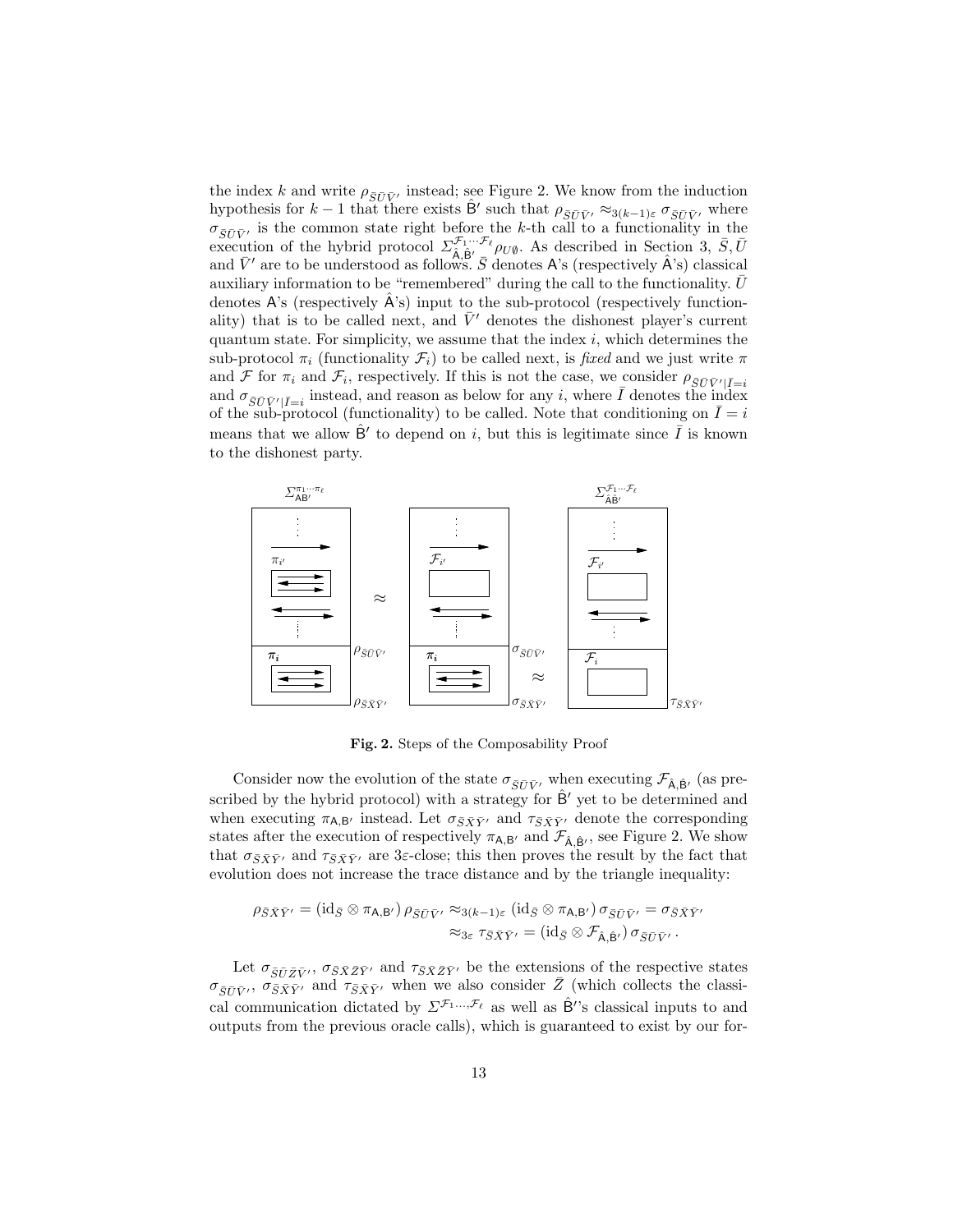the index k and write  $\rho_{\overline{S}\overline{U}\overline{V}}$  instead; see Figure 2. We know from the induction hypothesis for  $k-1$  that there exists  $\hat{\mathsf{B}}'$  such that  $\rho_{\overline{S}\overline{U}\overline{V}'} \approx_{3(k-1)\varepsilon} \sigma_{\overline{S}\overline{U}\overline{V}'}$  where  $\sigma_{\overline{S}\overline{U}\overline{V}}$  is the common state right before the k-th call to a functionality in the execution of the hybrid protocol  $\Sigma^{\mathcal{F}_1 \cdots \mathcal{F}_\ell}_{\hat{A}, \hat{B}', \bar{\mathcal{B}}'}$  As described in Section 3,  $\bar{S}, \bar{U}$ and  $\bar{V}'$  are to be understood as follows.  $\bar{S}$  denotes A's (respectively  $\hat{A}$ 's) classical auxiliary information to be "remembered" during the call to the functionality.  $\bar{U}$ denotes A's (respectively  $\hat{A}$ 's) input to the sub-protocol (respectively functionality) that is to be called next, and  $\bar{V}'$  denotes the dishonest player's current quantum state. For simplicity, we assume that the index  $i$ , which determines the sub-protocol  $\pi_i$  (functionality  $\mathcal{F}_i$ ) to be called next, is fixed and we just write  $\pi$ and F for  $\pi_i$  and  $\mathcal{F}_i$ , respectively. If this is not the case, we consider  $\rho_{\overline{S}\overline{U}\overline{V}'|\overline{I}=i}$ and  $\sigma_{\bar{S}\bar{U}\bar{V}'|\bar{I}=i}$  instead, and reason as below for any i, where  $\bar{I}$  denotes the index of the sub-protocol (functionality) to be called. Note that conditioning on  $I=i$ means that we allow  $\hat{B}'$  to depend on i, but this is legitimate since  $\overline{I}$  is known to the dishonest party.



Fig. 2. Steps of the Composability Proof

Consider now the evolution of the state  $\sigma_{\bar{S}\bar{U}\bar{V}}$  when executing  $\mathcal{F}_{\hat{A},\hat{B}'}$  (as prescribed by the hybrid protocol) with a strategy for  $\hat{B}'$  yet to be determined and when executing  $\pi_{A,B'}$  instead. Let  $\sigma_{\bar{S}\bar{X}\bar{Y}'}$  and  $\tau_{\bar{S}\bar{X}\bar{Y}'}$  denote the corresponding states after the execution of respectively  $\pi_{A,B'}$  and  $\mathcal{F}_{\hat{A},\hat{B}'},$  see Figure 2. We show that  $\sigma_{\bar{S}\bar{X}\bar{Y}'}$  and  $\tau_{\bar{S}\bar{X}\bar{Y}'}$  are 3 $\varepsilon$ -close; this then proves the result by the fact that evolution does not increase the trace distance and by the triangle inequality:

$$
\rho_{\bar{S}\bar{X}\bar{Y}'} = (\mathrm{id}_{\bar{S}} \otimes \pi_{\mathsf{A},\mathsf{B}'}) \rho_{\bar{S}\bar{U}\bar{V}'} \approx_{3(k-1)\varepsilon} (\mathrm{id}_{\bar{S}} \otimes \pi_{\mathsf{A},\mathsf{B}'}) \sigma_{\bar{S}\bar{U}\bar{V}'} = \sigma_{\bar{S}\bar{X}\bar{Y}'}\approx_{3\varepsilon} \tau_{\bar{S}\bar{X}\bar{Y}'} = (\mathrm{id}_{\bar{S}} \otimes \mathcal{F}_{\hat{\mathsf{A}},\hat{\mathsf{B}}'}) \sigma_{\bar{S}\bar{U}\bar{V}'}.
$$

Let  $\sigma_{\bar{S}\bar{U}\bar{Z}\bar{V}'}$ ,  $\sigma_{\bar{S}\bar{X}\bar{Z}\bar{Y}'}$  and  $\tau_{\bar{S}\bar{X}\bar{Z}\bar{Y}'}$  be the extensions of the respective states  $\sigma_{\bar{S}\bar{U}\bar{V}'}$ ,  $\sigma_{\bar{S}\bar{X}\bar{Y}'}$  and  $\tau_{\bar{S}\bar{X}\bar{Y}'}$  when we also consider  $\bar{Z}$  (which collects the classical communication dictated by  $\Sigma^{\mathcal{F}_1...\mathcal{F}_\ell}$  as well as  $\hat{\mathsf{B}}'$ 's classical inputs to and outputs from the previous oracle calls), which is guaranteed to exist by our for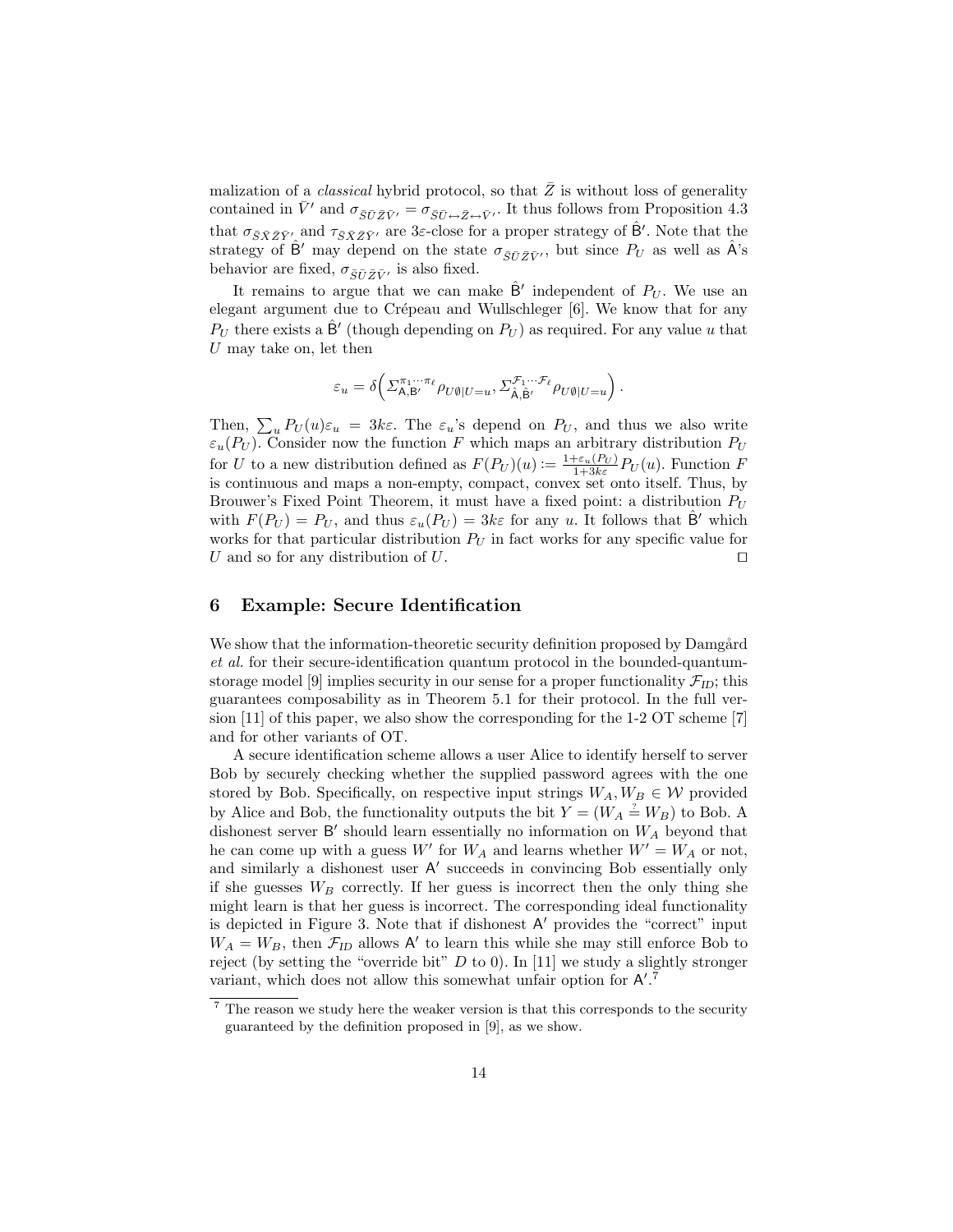malization of a *classical* hybrid protocol, so that  $\overline{Z}$  is without loss of generality contained in  $\bar{V}'$  and  $\sigma_{\bar{S}\bar{U}\bar{Z}\bar{V}'} = \sigma_{\bar{S}\bar{U}\leftrightarrow\bar{Z}\leftrightarrow\bar{V}'}$ . It thus follows from Proposition 4.3 that  $\sigma_{\bar{S}\bar{X}\bar{Z}\bar{Y}'}$  and  $\tau_{\bar{S}\bar{X}\bar{Z}\bar{Y}'}$  are 3*ε*-close for a proper strategy of  $\hat{B}'$ . Note that the strategy of  $\hat{B}'$  may depend on the state  $\sigma_{\overline{SUZ}V}$ , but since  $P_U$  as well as  $\hat{A}$ 's behavior are fixed,  $\sigma_{\bar{S}\bar{U}\bar{Z}\bar{V}'}$  is also fixed.

It remains to argue that we can make  $\hat{B}'$  independent of  $P_U$ . We use an elegant argument due to Crépeau and Wullschleger [6]. We know that for any  $P_U$  there exists a  $\hat{\mathsf{B}}'$  (though depending on  $P_U$ ) as required. For any value u that  $U$  may take on, let then

$$
\varepsilon_u = \delta\Big(\Sigma^{\pi_1\cdots\pi_\ell}_{\mathsf{A},\mathsf{B}'}\rho_{U\emptyset|U=u}, \Sigma^{\mathcal{F}_1\cdots\mathcal{F}_\ell}_{\hat{\mathsf{A}},\hat{\mathsf{B}}'}\rho_{U\emptyset|U=u}\Big)\,.
$$

Then,  $\sum_{u} P_U(u) \varepsilon_u = 3k\varepsilon$ . The  $\varepsilon_u$ 's depend on  $P_U$ , and thus we also write  $\varepsilon_u(P_U)$ . Consider now the function F which maps an arbitrary distribution  $P_U$ for U to a new distribution defined as  $F(P_U)(u) := \frac{1+\varepsilon_u(P_U)}{1+3k\varepsilon} P_U(u)$ . Function F is continuous and maps a non-empty, compact, convex set onto itself. Thus, by Brouwer's Fixed Point Theorem, it must have a fixed point: a distribution  $P_U$ with  $F(P_U) = P_U$ , and thus  $\varepsilon_u(P_U) = 3k\varepsilon$  for any u. It follows that  $\hat{\mathsf{B}}'$  which works for that particular distribution  $P_U$  in fact works for any specific value for U and so for any distribution of U.  $\Box$ 

### 6 Example: Secure Identification

We show that the information-theoretic security definition proposed by Damgård et al. for their secure-identification quantum protocol in the bounded-quantumstorage model [9] implies security in our sense for a proper functionality  $\mathcal{F}_{ID}$ ; this guarantees composability as in Theorem 5.1 for their protocol. In the full version [11] of this paper, we also show the corresponding for the 1-2 OT scheme [7] and for other variants of OT.

A secure identification scheme allows a user Alice to identify herself to server Bob by securely checking whether the supplied password agrees with the one stored by Bob. Specifically, on respective input strings  $W_A, W_B \in \mathcal{W}$  provided by Alice and Bob, the functionality outputs the bit  $Y = (W_A \stackrel{\text{?}}{=} W_B)$  to Bob. A dishonest server  $B'$  should learn essentially no information on  $W_A$  beyond that he can come up with a guess  $W'$  for  $W_A$  and learns whether  $W' = W_A$  or not, and similarly a dishonest user A' succeeds in convincing Bob essentially only if she guesses  $W_B$  correctly. If her guess is incorrect then the only thing she might learn is that her guess is incorrect. The corresponding ideal functionality is depicted in Figure 3. Note that if dishonest A' provides the "correct" input  $W_A = W_B$ , then  $\mathcal{F}_{ID}$  allows A' to learn this while she may still enforce Bob to reject (by setting the "override bit"  $D$  to 0). In [11] we study a slightly stronger variant, which does not allow this somewhat unfair option for  $A^{\prime}$ .<sup>7</sup>

<sup>&</sup>lt;sup>7</sup> The reason we study here the weaker version is that this corresponds to the security guaranteed by the definition proposed in [9], as we show.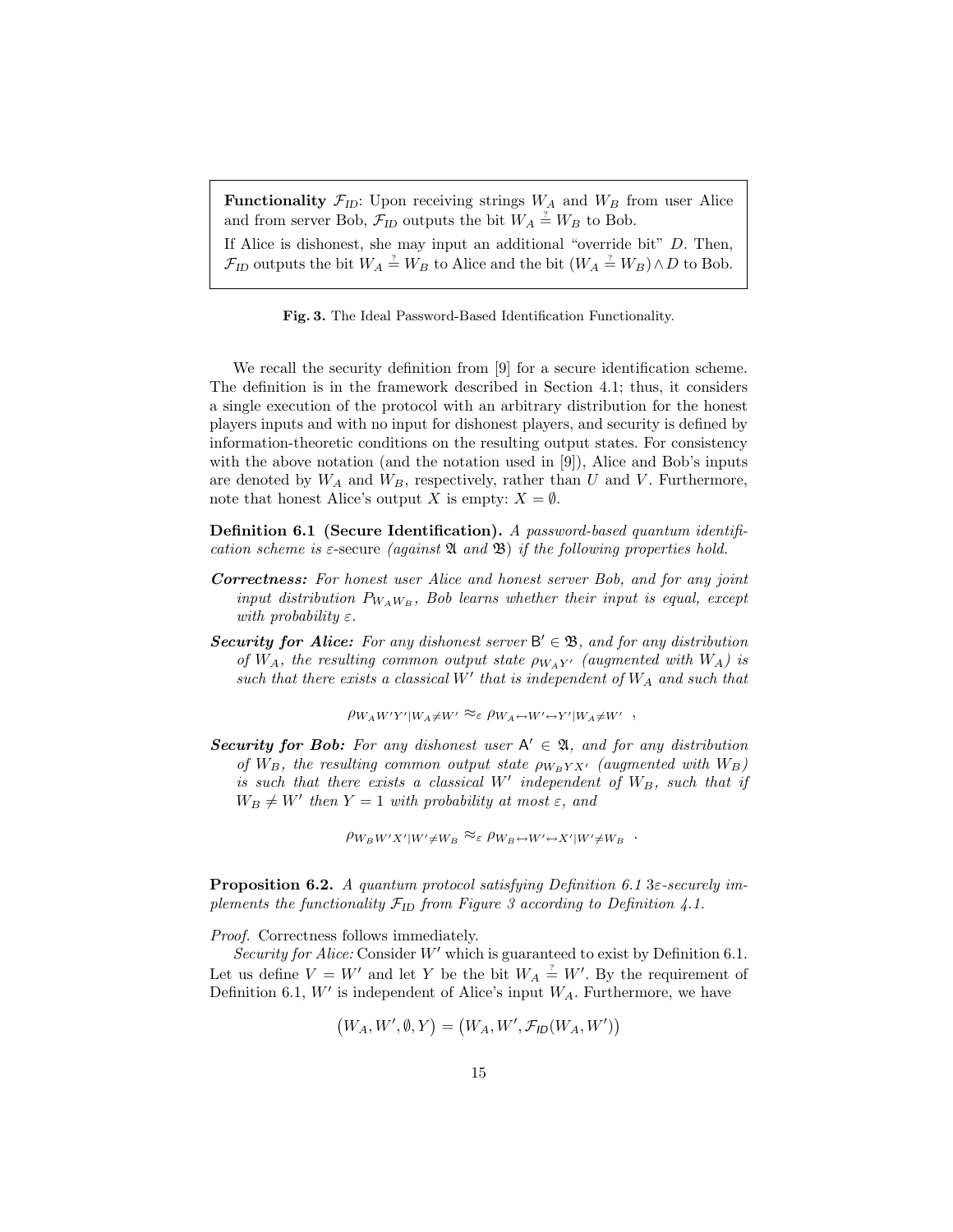**Functionality**  $\mathcal{F}_{ID}$ : Upon receiving strings  $W_A$  and  $W_B$  from user Alice and from server Bob,  $\mathcal{F}_{ID}$  outputs the bit  $W_A \stackrel{\text{'}}{=} W_B$  to Bob.

If Alice is dishonest, she may input an additional "override bit" D. Then,  $\mathcal{F}_{ID}$  outputs the bit  $W_A \stackrel{?}{=} W_B$  to Alice and the bit  $(W_A \stackrel{?}{=} W_B) \wedge D$  to Bob.

Fig. 3. The Ideal Password-Based Identification Functionality.

We recall the security definition from [9] for a secure identification scheme. The definition is in the framework described in Section 4.1; thus, it considers a single execution of the protocol with an arbitrary distribution for the honest players inputs and with no input for dishonest players, and security is defined by information-theoretic conditions on the resulting output states. For consistency with the above notation (and the notation used in [9]), Alice and Bob's inputs are denoted by  $W_A$  and  $W_B$ , respectively, rather than U and V. Furthermore, note that honest Alice's output X is empty:  $X = \emptyset$ .

Definition 6.1 (Secure Identification). A password-based quantum identification scheme is  $\varepsilon$ -secure (against  $\mathfrak A$  and  $\mathfrak B$ ) if the following properties hold.

- Correctness: For honest user Alice and honest server Bob, and for any joint input distribution  $P_{W_A W_B}$ , Bob learns whether their input is equal, except with probability  $\varepsilon$ .
- Security for Alice: For any dishonest server  $B' \in \mathcal{B}$ , and for any distribution of  $W_A$ , the resulting common output state  $\rho_{W_A Y'}$  (augmented with  $W_A$ ) is such that there exists a classical W' that is independent of  $W_A$  and such that

 $\rho_{W_A W'Y' | W_A \neq W'} \approx_{\varepsilon} \rho_{W_A \leftrightarrow W' \leftrightarrow Y' | W_A \neq W'}$ ,

**Security for Bob:** For any dishonest user  $A' \in \mathfrak{A}$ , and for any distribution of  $W_B$ , the resulting common output state  $\rho_{W_B Y X'}$  (augmented with  $W_B$ ) is such that there exists a classical  $W'$  independent of  $W_B$ , such that if  $W_B \neq W'$  then  $Y = 1$  with probability at most  $\varepsilon$ , and

 $\rho_{W_B W'X'|W' \neq W_B} \approx_{\varepsilon} \rho_{W_B \leftrightarrow W' \leftrightarrow X'|W' \neq W_B}$ .

**Proposition 6.2.** A quantum protocol satisfying Definition 6.1 3 $\varepsilon$ -securely implements the functionality  $\mathcal{F}_{ID}$  from Figure 3 according to Definition 4.1.

Proof. Correctness follows immediately.

Security for Alice: Consider  $W'$  which is guaranteed to exist by Definition 6.1. Let us define  $V = W'$  and let Y be the bit  $W_A \stackrel{?}{=} W'$ . By the requirement of Definition 6.1,  $W'$  is independent of Alice's input  $W_A$ . Furthermore, we have

$$
(W_A, W', \emptyset, Y) = (W_A, W', \mathcal{F}_{ID}(W_A, W'))
$$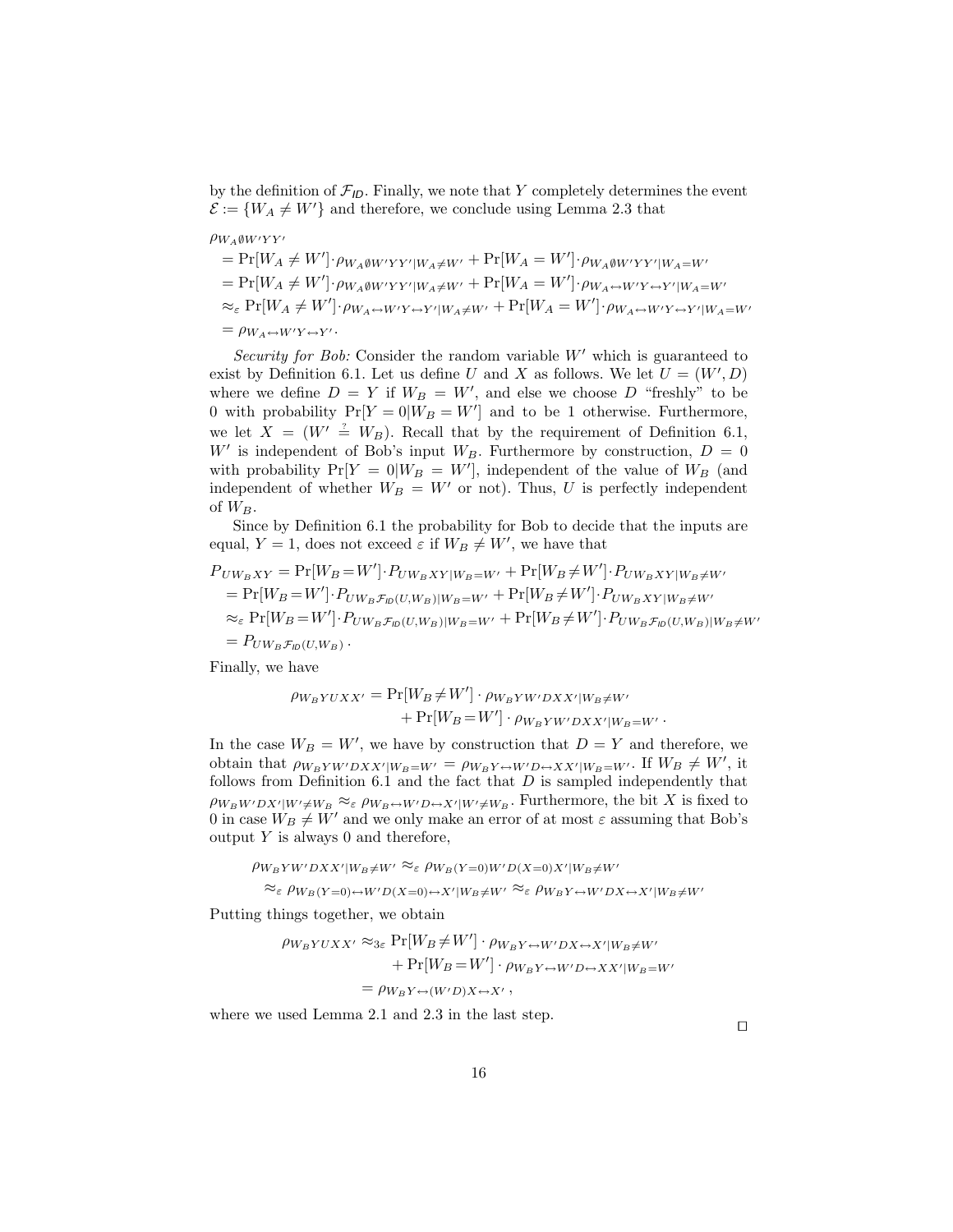by the definition of  $\mathcal{F}_{ID}$ . Finally, we note that Y completely determines the event  $\mathcal{E} := \{W_A \neq W'\}$  and therefore, we conclude using Lemma 2.3 that

 $\rho_{W_A \emptyset W'YY'}$ 

$$
= \Pr[W_A \neq W'] \cdot \rho_{W_A \emptyset W'YY'|W_A \neq W'} + \Pr[W_A = W'] \cdot \rho_{W_A \emptyset W'YY'|W_A = W'}= \Pr[W_A \neq W'] \cdot \rho_{W_A \emptyset W'YY'|W_A \neq W'} + \Pr[W_A = W'] \cdot \rho_{W_A \leftrightarrow W'Y \leftrightarrow Y'|W_A = W'}\approx_{\varepsilon} \Pr[W_A \neq W'] \cdot \rho_{W_A \leftrightarrow W'Y \leftrightarrow Y'|W_A \neq W'} + \Pr[W_A = W'] \cdot \rho_{W_A \leftrightarrow W'Y \leftrightarrow Y'|W_A = W'}= \rho_{W_A \leftrightarrow W'Y \leftrightarrow Y'}.
$$

Security for Bob: Consider the random variable  $W'$  which is guaranteed to exist by Definition 6.1. Let us define U and X as follows. We let  $U = (W', D)$ where we define  $D = Y$  if  $W_B = W'$ , and else we choose D "freshly" to be 0 with probability  $Pr[Y = 0|W_B = W']$  and to be 1 otherwise. Furthermore, we let  $X = (W' \stackrel{\text{\tiny ?}}{=} W_B)$ . Recall that by the requirement of Definition 6.1, W' is independent of Bob's input  $W_B$ . Furthermore by construction,  $D = 0$ with probability  $Pr[Y = 0|W_B = W']$ , independent of the value of  $W_B$  (and independent of whether  $W_B = W'$  or not). Thus, U is perfectly independent of  $W_B$ .

Since by Definition 6.1 the probability for Bob to decide that the inputs are equal,  $Y = 1$ , does not exceed  $\varepsilon$  if  $W_B \neq W'$ , we have that

$$
P_{U W_B X Y} = \Pr[W_B = W'] \cdot P_{U W_B X Y} |_{W_B = W'} + \Pr[W_B \neq W'] \cdot P_{U W_B X Y} |_{W_B \neq W'}
$$
  
= 
$$
\Pr[W_B = W'] \cdot P_{U W_B \mathcal{F}_D(U, W_B)} |_{W_B = W'} + \Pr[W_B \neq W'] \cdot P_{U W_B X Y} |_{W_B \neq W'}
$$
  

$$
\approx_{\varepsilon} \Pr[W_B = W'] \cdot P_{U W_B \mathcal{F}_D(U, W_B)} |_{W_B = W'} + \Pr[W_B \neq W'] \cdot P_{U W_B \mathcal{F}_D(U, W_B)} |_{W_B \neq W'}
$$
  
= 
$$
P_{U W_B \mathcal{F}_D(U, W_B)}.
$$

Finally, we have

$$
\rho_{W_BYUXX'} = \Pr[W_B \neq W'] \cdot \rho_{W_BYW'DXX'|W_B \neq W'} + \Pr[W_B = W'] \cdot \rho_{W_BYW'DXX'|W_B = W'}.
$$

In the case  $W_B = W'$ , we have by construction that  $D = Y$  and therefore, we obtain that  $\rho_{W_B Y W'DX X'|W_B=W'} = \rho_{W_B Y \leftrightarrow W'D \leftrightarrow X X'|W_B=W'}$ . If  $W_B \neq W'$ , it follows from Definition 6.1 and the fact that  $D$  is sampled independently that  $\rho_{W_B W'DX'|W' \neq W_B} \approx_{\varepsilon} \rho_{W_B \leftrightarrow W'D \leftrightarrow X'|W' \neq W_B}$ . Furthermore, the bit X is fixed to 0 in case  $W_B \neq W'$  and we only make an error of at most  $\varepsilon$  assuming that Bob's output  $Y$  is always 0 and therefore,

$$
\rho_{W_B Y W' D X X' | W_B \neq W'} \approx_{\varepsilon} \rho_{W_B (Y=0) W' D (X=0) X' | W_B \neq W'} \approx_{\varepsilon} \rho_{W_B Y=0} \leftrightarrow W' D (X=0) \leftrightarrow X' | W_B \neq W'} \approx_{\varepsilon} \rho_{W_B Y \leftrightarrow W' D X \leftrightarrow X' | W_B \neq W'}
$$

Putting things together, we obtain

 $\mathbb{R}$  Property is presented by  $\mathbb{R}$ 

$$
\rho_{W_B YUXX'} \approx_{3\varepsilon} \Pr[W_B \neq W'] \cdot \rho_{W_B Y \leftrightarrow W'DX \leftrightarrow X'|W_B \neq W'}
$$

$$
+ \Pr[W_B = W'] \cdot \rho_{W_B Y \leftrightarrow W'D \leftrightarrow XX'|W_B = W'}
$$

$$
= \rho_{W_B Y \leftrightarrow (W'D)X \leftrightarrow X'},
$$

where we used Lemma 2.1 and 2.3 in the last step.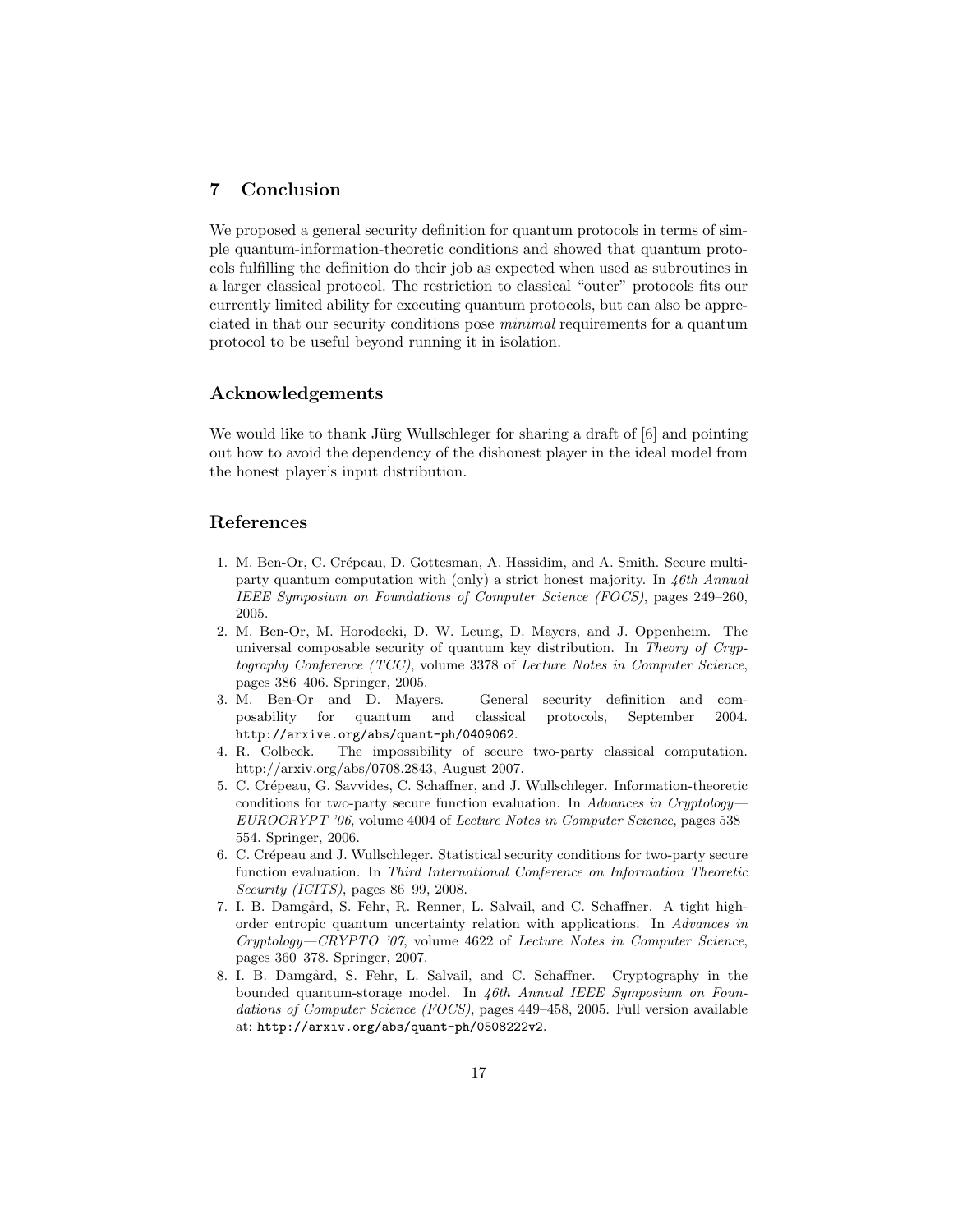# 7 Conclusion

We proposed a general security definition for quantum protocols in terms of simple quantum-information-theoretic conditions and showed that quantum protocols fulfilling the definition do their job as expected when used as subroutines in a larger classical protocol. The restriction to classical "outer" protocols fits our currently limited ability for executing quantum protocols, but can also be appreciated in that our security conditions pose minimal requirements for a quantum protocol to be useful beyond running it in isolation.

# Acknowledgements

We would like to thank Jürg Wullschleger for sharing a draft of  $[6]$  and pointing out how to avoid the dependency of the dishonest player in the ideal model from the honest player's input distribution.

# References

- 1. M. Ben-Or, C. Crépeau, D. Gottesman, A. Hassidim, and A. Smith. Secure multiparty quantum computation with (only) a strict honest majority. In 46th Annual IEEE Symposium on Foundations of Computer Science (FOCS), pages 249–260, 2005.
- 2. M. Ben-Or, M. Horodecki, D. W. Leung, D. Mayers, and J. Oppenheim. The universal composable security of quantum key distribution. In Theory of Cryptography Conference (TCC), volume 3378 of Lecture Notes in Computer Science, pages 386–406. Springer, 2005.
- 3. M. Ben-Or and D. Mayers. General security definition and composability for quantum and classical protocols, September 2004. http://arxive.org/abs/quant-ph/0409062.
- 4. R. Colbeck. The impossibility of secure two-party classical computation. http://arxiv.org/abs/0708.2843, August 2007.
- 5. C. Cr´epeau, G. Savvides, C. Schaffner, and J. Wullschleger. Information-theoretic conditions for two-party secure function evaluation. In Advances in Cryptology-EUROCRYPT '06, volume 4004 of Lecture Notes in Computer Science, pages 538– 554. Springer, 2006.
- 6. C. Cr´epeau and J. Wullschleger. Statistical security conditions for two-party secure function evaluation. In Third International Conference on Information Theoretic Security (ICITS), pages 86–99, 2008.
- 7. I. B. Damgård, S. Fehr, R. Renner, L. Salvail, and C. Schaffner. A tight highorder entropic quantum uncertainty relation with applications. In Advances in Cryptology—CRYPTO '07, volume 4622 of Lecture Notes in Computer Science, pages 360–378. Springer, 2007.
- 8. I. B. Damgård, S. Fehr, L. Salvail, and C. Schaffner. Cryptography in the bounded quantum-storage model. In 46th Annual IEEE Symposium on Foundations of Computer Science (FOCS), pages 449–458, 2005. Full version available at: http://arxiv.org/abs/quant-ph/0508222v2.